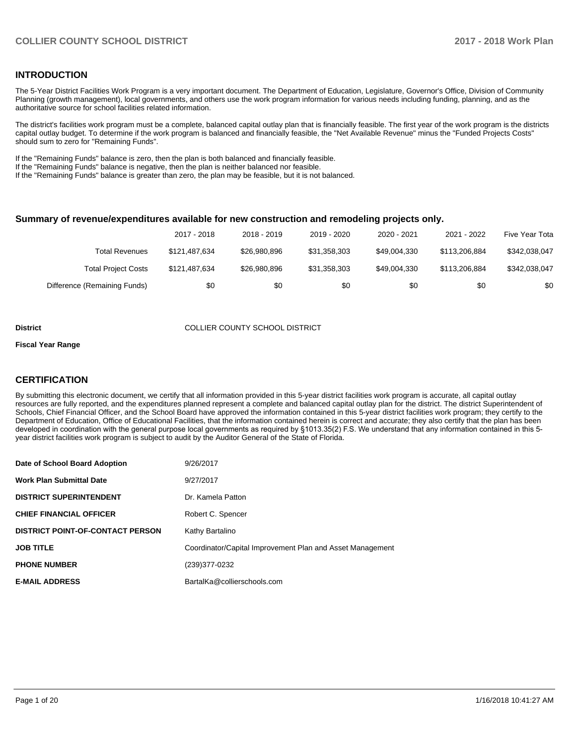## **INTRODUCTION**

The 5-Year District Facilities Work Program is a very important document. The Department of Education, Legislature, Governor's Office, Division of Community Planning (growth management), local governments, and others use the work program information for various needs including funding, planning, and as the authoritative source for school facilities related information.

The district's facilities work program must be a complete, balanced capital outlay plan that is financially feasible. The first year of the work program is the districts capital outlay budget. To determine if the work program is balanced and financially feasible, the "Net Available Revenue" minus the "Funded Projects Costs" should sum to zero for "Remaining Funds".

If the "Remaining Funds" balance is zero, then the plan is both balanced and financially feasible.

If the "Remaining Funds" balance is negative, then the plan is neither balanced nor feasible.

If the "Remaining Funds" balance is greater than zero, the plan may be feasible, but it is not balanced.

#### **Summary of revenue/expenditures available for new construction and remodeling projects only.**

|                              | 2017 - 2018   | 2018 - 2019  | 2019 - 2020  | 2020 - 2021  | 2021 - 2022   | Five Year Tota |
|------------------------------|---------------|--------------|--------------|--------------|---------------|----------------|
| <b>Total Revenues</b>        | \$121.487.634 | \$26,980,896 | \$31,358,303 | \$49.004.330 | \$113,206,884 | \$342,038,047  |
| <b>Total Project Costs</b>   | \$121,487,634 | \$26,980,896 | \$31.358.303 | \$49.004.330 | \$113.206.884 | \$342,038,047  |
| Difference (Remaining Funds) | \$0           | \$0          | \$0          | \$0          | \$0           | \$0            |

#### **District COLLIER COUNTY SCHOOL DISTRICT**

#### **Fiscal Year Range**

## **CERTIFICATION**

By submitting this electronic document, we certify that all information provided in this 5-year district facilities work program is accurate, all capital outlay resources are fully reported, and the expenditures planned represent a complete and balanced capital outlay plan for the district. The district Superintendent of Schools, Chief Financial Officer, and the School Board have approved the information contained in this 5-year district facilities work program; they certify to the Department of Education, Office of Educational Facilities, that the information contained herein is correct and accurate; they also certify that the plan has been developed in coordination with the general purpose local governments as required by §1013.35(2) F.S. We understand that any information contained in this 5year district facilities work program is subject to audit by the Auditor General of the State of Florida.

| Date of School Board Adoption           | 9/26/2017                                                 |
|-----------------------------------------|-----------------------------------------------------------|
| <b>Work Plan Submittal Date</b>         | 9/27/2017                                                 |
| <b>DISTRICT SUPERINTENDENT</b>          | Dr. Kamela Patton                                         |
| <b>CHIEF FINANCIAL OFFICER</b>          | Robert C. Spencer                                         |
| <b>DISTRICT POINT-OF-CONTACT PERSON</b> | Kathy Bartalino                                           |
| <b>JOB TITLE</b>                        | Coordinator/Capital Improvement Plan and Asset Management |
| <b>PHONE NUMBER</b>                     | (239)377-0232                                             |
| <b>E-MAIL ADDRESS</b>                   | BartalKa@collierschools.com                               |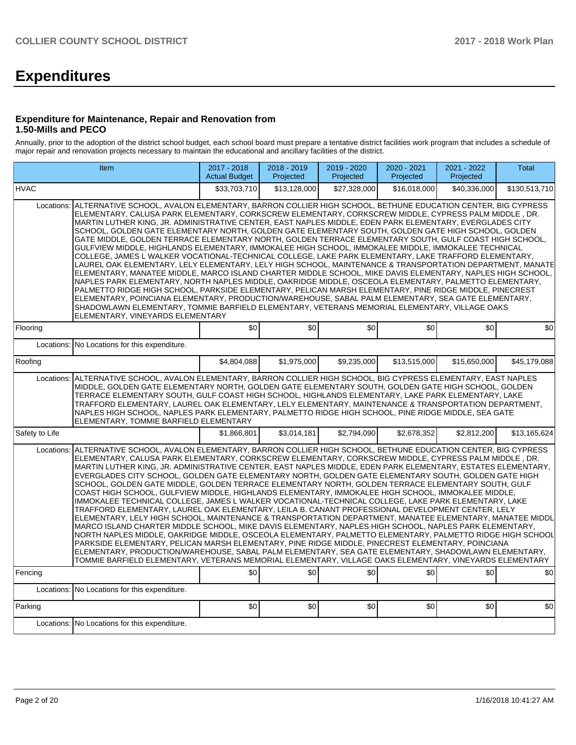# **Expenditures**

#### **Expenditure for Maintenance, Repair and Renovation from 1.50-Mills and PECO**

Annually, prior to the adoption of the district school budget, each school board must prepare a tentative district facilities work program that includes a schedule of major repair and renovation projects necessary to maintain the educational and ancillary facilities of the district.

| <b>Item</b>                                                                                                                                                                                                                                                                                                                                                                                                                                                                                                                                                                                                                                                                                                                                                                                                                                                                                                                                                                                                                                                                                                                                                                                                                                                                                                                                                                                                                                                                                                                              | 2017 - 2018<br><b>Actual Budget</b>                                                                                                                                                                                                                                                                                                                                                                                                                                                                                                                                                                                                                                                                                                                                                                                                                                                                                                                                                                                                                                                                                                                                                                                                                                                                                                                                                                                                                        | 2018 - 2019<br>Projected | 2019 - 2020<br>Projected | 2020 - 2021<br>Projected | 2021 - 2022<br>Projected | <b>Total</b>  |  |  |  |  |  |
|------------------------------------------------------------------------------------------------------------------------------------------------------------------------------------------------------------------------------------------------------------------------------------------------------------------------------------------------------------------------------------------------------------------------------------------------------------------------------------------------------------------------------------------------------------------------------------------------------------------------------------------------------------------------------------------------------------------------------------------------------------------------------------------------------------------------------------------------------------------------------------------------------------------------------------------------------------------------------------------------------------------------------------------------------------------------------------------------------------------------------------------------------------------------------------------------------------------------------------------------------------------------------------------------------------------------------------------------------------------------------------------------------------------------------------------------------------------------------------------------------------------------------------------|------------------------------------------------------------------------------------------------------------------------------------------------------------------------------------------------------------------------------------------------------------------------------------------------------------------------------------------------------------------------------------------------------------------------------------------------------------------------------------------------------------------------------------------------------------------------------------------------------------------------------------------------------------------------------------------------------------------------------------------------------------------------------------------------------------------------------------------------------------------------------------------------------------------------------------------------------------------------------------------------------------------------------------------------------------------------------------------------------------------------------------------------------------------------------------------------------------------------------------------------------------------------------------------------------------------------------------------------------------------------------------------------------------------------------------------------------------|--------------------------|--------------------------|--------------------------|--------------------------|---------------|--|--|--|--|--|
| <b>HVAC</b>                                                                                                                                                                                                                                                                                                                                                                                                                                                                                                                                                                                                                                                                                                                                                                                                                                                                                                                                                                                                                                                                                                                                                                                                                                                                                                                                                                                                                                                                                                                              | \$33,703,710                                                                                                                                                                                                                                                                                                                                                                                                                                                                                                                                                                                                                                                                                                                                                                                                                                                                                                                                                                                                                                                                                                                                                                                                                                                                                                                                                                                                                                               | \$13,128,000             | \$27,328,000             | \$16,018,000             | \$40,336,000             | \$130,513,710 |  |  |  |  |  |
| Locations:                                                                                                                                                                                                                                                                                                                                                                                                                                                                                                                                                                                                                                                                                                                                                                                                                                                                                                                                                                                                                                                                                                                                                                                                                                                                                                                                                                                                                                                                                                                               | ALTERNATIVE SCHOOL, AVALON ELEMENTARY, BARRON COLLIER HIGH SCHOOL, BETHUNE EDUCATION CENTER, BIG CYPRESS<br>ELEMENTARY, CALUSA PARK ELEMENTARY, CORKSCREW ELEMENTARY, CORKSCREW MIDDLE, CYPRESS PALM MIDDLE, DR.<br>MARTIN LUTHER KING, JR. ADMINISTRATIVE CENTER, EAST NAPLES MIDDLE, EDEN PARK ELEMENTARY, EVERGLADES CITY<br>SCHOOL, GOLDEN GATE ELEMENTARY NORTH, GOLDEN GATE ELEMENTARY SOUTH, GOLDEN GATE HIGH SCHOOL, GOLDEN<br>GATE MIDDLE, GOLDEN TERRACE ELEMENTARY NORTH, GOLDEN TERRACE ELEMENTARY SOUTH, GULF COAST HIGH SCHOOL,<br>GULFVIEW MIDDLE, HIGHLANDS ELEMENTARY, IMMOKALEE HIGH SCHOOL, IMMOKALEE MIDDLE, IMMOKALEE TECHNICAL<br>COLLEGE, JAMES L WALKER VOCATIONAL-TECHNICAL COLLEGE, LAKE PARK ELEMENTARY, LAKE TRAFFORD ELEMENTARY,<br>LAUREL OAK ELEMENTARY, LELY ELEMENTARY, LELY HIGH SCHOOL, MAINTENANCE & TRANSPORTATION DEPARTMENT, MANATE <br>ELEMENTARY, MANATEE MIDDLE, MARCO ISLAND CHARTER MIDDLE SCHOOL, MIKE DAVIS ELEMENTARY, NAPLES HIGH SCHOOL,<br>NAPLES PARK ELEMENTARY, NORTH NAPLES MIDDLE, OAKRIDGE MIDDLE, OSCEOLA ELEMENTARY, PALMETTO ELEMENTARY,<br>PALMETTO RIDGE HIGH SCHOOL, PARKSIDE ELEMENTARY, PELICAN MARSH ELEMENTARY, PINE RIDGE MIDDLE, PINECREST<br>ELEMENTARY, POINCIANA ELEMENTARY, PRODUCTION/WAREHOUSE, SABAL PALM ELEMENTARY, SEA GATE ELEMENTARY,<br>SHADOWLAWN ELEMENTARY, TOMMIE BARFIELD ELEMENTARY, VETERANS MEMORIAL ELEMENTARY, VILLAGE OAKS<br>ELEMENTARY, VINEYARDS ELEMENTARY |                          |                          |                          |                          |               |  |  |  |  |  |
| Flooring<br>Locations:<br>No Locations for this expenditure.                                                                                                                                                                                                                                                                                                                                                                                                                                                                                                                                                                                                                                                                                                                                                                                                                                                                                                                                                                                                                                                                                                                                                                                                                                                                                                                                                                                                                                                                             | \$0                                                                                                                                                                                                                                                                                                                                                                                                                                                                                                                                                                                                                                                                                                                                                                                                                                                                                                                                                                                                                                                                                                                                                                                                                                                                                                                                                                                                                                                        | \$0                      | \$0                      | \$0                      | \$0                      | \$0           |  |  |  |  |  |
|                                                                                                                                                                                                                                                                                                                                                                                                                                                                                                                                                                                                                                                                                                                                                                                                                                                                                                                                                                                                                                                                                                                                                                                                                                                                                                                                                                                                                                                                                                                                          |                                                                                                                                                                                                                                                                                                                                                                                                                                                                                                                                                                                                                                                                                                                                                                                                                                                                                                                                                                                                                                                                                                                                                                                                                                                                                                                                                                                                                                                            |                          |                          |                          |                          |               |  |  |  |  |  |
| Roofing                                                                                                                                                                                                                                                                                                                                                                                                                                                                                                                                                                                                                                                                                                                                                                                                                                                                                                                                                                                                                                                                                                                                                                                                                                                                                                                                                                                                                                                                                                                                  | \$4,804,088                                                                                                                                                                                                                                                                                                                                                                                                                                                                                                                                                                                                                                                                                                                                                                                                                                                                                                                                                                                                                                                                                                                                                                                                                                                                                                                                                                                                                                                | \$1,975,000              | \$9,235,000              | \$13,515,000             | \$15,650,000             | \$45,179,088  |  |  |  |  |  |
|                                                                                                                                                                                                                                                                                                                                                                                                                                                                                                                                                                                                                                                                                                                                                                                                                                                                                                                                                                                                                                                                                                                                                                                                                                                                                                                                                                                                                                                                                                                                          | Locations: ALTERNATIVE SCHOOL, AVALON ELEMENTARY, BARRON COLLIER HIGH SCHOOL, BIG CYPRESS ELEMENTARY, EAST NAPLES<br>MIDDLE, GOLDEN GATE ELEMENTARY NORTH, GOLDEN GATE ELEMENTARY SOUTH, GOLDEN GATE HIGH SCHOOL, GOLDEN<br>TERRACE ELEMENTARY SOUTH, GULF COAST HIGH SCHOOL, HIGHLANDS ELEMENTARY, LAKE PARK ELEMENTARY, LAKE<br>TRAFFORD ELEMENTARY, LAUREL OAK ELEMENTARY, LELY ELEMENTARY, MAINTENANCE & TRANSPORTATION DEPARTMENT,<br>NAPLES HIGH SCHOOL, NAPLES PARK ELEMENTARY, PALMETTO RIDGE HIGH SCHOOL, PINE RIDGE MIDDLE, SEA GATE<br>ELEMENTARY, TOMMIE BARFIELD ELEMENTARY                                                                                                                                                                                                                                                                                                                                                                                                                                                                                                                                                                                                                                                                                                                                                                                                                                                                   |                          |                          |                          |                          |               |  |  |  |  |  |
| Safety to Life                                                                                                                                                                                                                                                                                                                                                                                                                                                                                                                                                                                                                                                                                                                                                                                                                                                                                                                                                                                                                                                                                                                                                                                                                                                                                                                                                                                                                                                                                                                           | \$1,866,801                                                                                                                                                                                                                                                                                                                                                                                                                                                                                                                                                                                                                                                                                                                                                                                                                                                                                                                                                                                                                                                                                                                                                                                                                                                                                                                                                                                                                                                | \$3,014,181              | \$2,794,090              | \$2,678,352              | \$2,812,200              | \$13,165,624  |  |  |  |  |  |
| Locations: ALTERNATIVE SCHOOL, AVALON ELEMENTARY, BARRON COLLIER HIGH SCHOOL, BETHUNE EDUCATION CENTER, BIG CYPRESS<br>ELEMENTARY, CALUSA PARK ELEMENTARY, CORKSCREW ELEMENTARY, CORKSCREW MIDDLE, CYPRESS PALM MIDDLE , DR.<br>MARTIN LUTHER KING. JR. ADMINISTRATIVE CENTER. EAST NAPLES MIDDLE. EDEN PARK ELEMENTARY. ESTATES ELEMENTARY.<br>EVERGLADES CITY SCHOOL, GOLDEN GATE ELEMENTARY NORTH, GOLDEN GATE ELEMENTARY SOUTH, GOLDEN GATE HIGH<br>SCHOOL, GOLDEN GATE MIDDLE, GOLDEN TERRACE ELEMENTARY NORTH, GOLDEN TERRACE ELEMENTARY SOUTH, GULF<br>COAST HIGH SCHOOL, GULFVIEW MIDDLE, HIGHLANDS ELEMENTARY, IMMOKALEE HIGH SCHOOL, IMMOKALEE MIDDLE,<br>IMMOKALEE TECHNICAL COLLEGE, JAMES L WALKER VOCATIONAL-TECHNICAL COLLEGE, LAKE PARK ELEMENTARY, LAKE<br>TRAFFORD ELEMENTARY, LAUREL OAK ELEMENTARY, LEILA B. CANANT PROFESSIONAL DEVELOPMENT CENTER, LELY<br>ELEMENTARY, LELY HIGH SCHOOL, MAINTENANCE & TRANSPORTATION DEPARTMENT, MANATEE ELEMENTARY, MANATEE MIDDL<br>MARCO ISLAND CHARTER MIDDLE SCHOOL, MIKE DAVIS ELEMENTARY, NAPLES HIGH SCHOOL, NAPLES PARK ELEMENTARY,<br>NORTH NAPLES MIDDLE, OAKRIDGE MIDDLE, OSCEOLA ELEMENTARY, PALMETTO ELEMENTARY, PALMETTO RIDGE HIGH SCHOOL<br>PARKSIDE ELEMENTARY, PELICAN MARSH ELEMENTARY, PINE RIDGE MIDDLE, PINECREST ELEMENTARY, POINCIANA<br>ELEMENTARY, PRODUCTION/WAREHOUSE, SABAL PALM ELEMENTARY, SEA GATE ELEMENTARY, SHADOWLAWN ELEMENTARY,<br>TOMMIE BARFIELD ELEMENTARY, VETERANS MEMORIAL ELEMENTARY, VILLAGE OAKS ELEMENTARY, VINEYARDS ELEMENTARY |                                                                                                                                                                                                                                                                                                                                                                                                                                                                                                                                                                                                                                                                                                                                                                                                                                                                                                                                                                                                                                                                                                                                                                                                                                                                                                                                                                                                                                                            |                          |                          |                          |                          |               |  |  |  |  |  |
| Fencing                                                                                                                                                                                                                                                                                                                                                                                                                                                                                                                                                                                                                                                                                                                                                                                                                                                                                                                                                                                                                                                                                                                                                                                                                                                                                                                                                                                                                                                                                                                                  | \$0                                                                                                                                                                                                                                                                                                                                                                                                                                                                                                                                                                                                                                                                                                                                                                                                                                                                                                                                                                                                                                                                                                                                                                                                                                                                                                                                                                                                                                                        | \$0                      | \$0                      | \$0                      | \$0                      | \$0           |  |  |  |  |  |
| No Locations for this expenditure.<br>Locations:                                                                                                                                                                                                                                                                                                                                                                                                                                                                                                                                                                                                                                                                                                                                                                                                                                                                                                                                                                                                                                                                                                                                                                                                                                                                                                                                                                                                                                                                                         |                                                                                                                                                                                                                                                                                                                                                                                                                                                                                                                                                                                                                                                                                                                                                                                                                                                                                                                                                                                                                                                                                                                                                                                                                                                                                                                                                                                                                                                            |                          |                          |                          |                          |               |  |  |  |  |  |
| Parking                                                                                                                                                                                                                                                                                                                                                                                                                                                                                                                                                                                                                                                                                                                                                                                                                                                                                                                                                                                                                                                                                                                                                                                                                                                                                                                                                                                                                                                                                                                                  | \$0                                                                                                                                                                                                                                                                                                                                                                                                                                                                                                                                                                                                                                                                                                                                                                                                                                                                                                                                                                                                                                                                                                                                                                                                                                                                                                                                                                                                                                                        | $\overline{50}$          | \$0                      | $\overline{50}$          | $\overline{50}$          | \$0           |  |  |  |  |  |
| Locations: No Locations for this expenditure.                                                                                                                                                                                                                                                                                                                                                                                                                                                                                                                                                                                                                                                                                                                                                                                                                                                                                                                                                                                                                                                                                                                                                                                                                                                                                                                                                                                                                                                                                            |                                                                                                                                                                                                                                                                                                                                                                                                                                                                                                                                                                                                                                                                                                                                                                                                                                                                                                                                                                                                                                                                                                                                                                                                                                                                                                                                                                                                                                                            |                          |                          |                          |                          |               |  |  |  |  |  |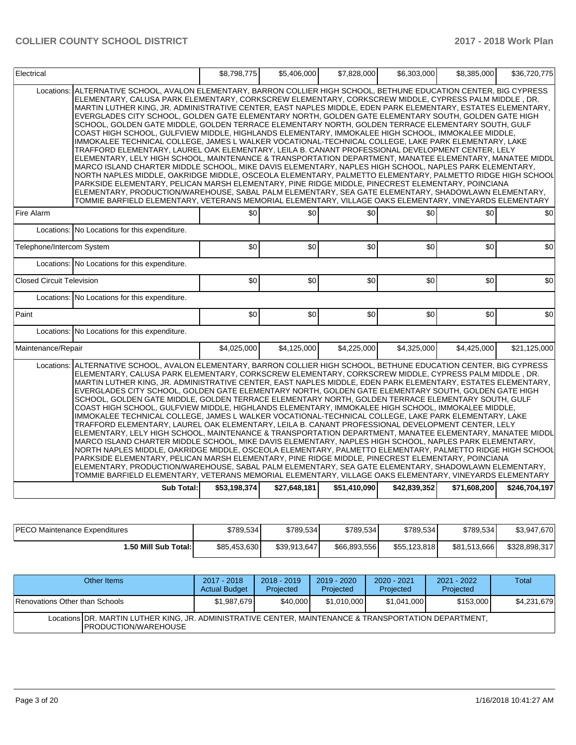| Locations:<br>ALTERNATIVE SCHOOL, AVALON ELEMENTARY, BARRON COLLIER HIGH SCHOOL, BETHUNE EDUCATION CENTER, BIG CYPRESS<br>ELEMENTARY, CALUSA PARK ELEMENTARY, CORKSCREW ELEMENTARY, CORKSCREW MIDDLE, CYPRESS PALM MIDDLE , DR.<br>MARTIN LUTHER KING, JR. ADMINISTRATIVE CENTER, EAST NAPLES MIDDLE, EDEN PARK ELEMENTARY, ESTATES ELEMENTARY,<br>EVERGLADES CITY SCHOOL, GOLDEN GATE ELEMENTARY NORTH, GOLDEN GATE ELEMENTARY SOUTH, GOLDEN GATE HIGH<br>SCHOOL, GOLDEN GATE MIDDLE, GOLDEN TERRACE ELEMENTARY NORTH, GOLDEN TERRACE ELEMENTARY SOUTH, GULF<br>COAST HIGH SCHOOL, GULFVIEW MIDDLE, HIGHLANDS ELEMENTARY, IMMOKALEE HIGH SCHOOL, IMMOKALEE MIDDLE,<br>IMMOKALEE TECHNICAL COLLEGE, JAMES L WALKER VOCATIONAL-TECHNICAL COLLEGE, LAKE PARK ELEMENTARY, LAKE<br>TRAFFORD ELEMENTARY, LAUREL OAK ELEMENTARY, LEILA B. CANANT PROFESSIONAL DEVELOPMENT CENTER, LELY<br>ELEMENTARY, LELY HIGH SCHOOL, MAINTENANCE & TRANSPORTATION DEPARTMENT, MANATEE ELEMENTARY, MANATEE MIDDL<br>MARCO ISLAND CHARTER MIDDLE SCHOOL, MIKE DAVIS ELEMENTARY, NAPLES HIGH SCHOOL, NAPLES PARK ELEMENTARY,<br>NORTH NAPLES MIDDLE, OAKRIDGE MIDDLE, OSCEOLA ELEMENTARY, PALMETTO ELEMENTARY, PALMETTO RIDGE HIGH SCHOOL<br>PARKSIDE ELEMENTARY, PELICAN MARSH ELEMENTARY, PINE RIDGE MIDDLE, PINECREST ELEMENTARY, POINCIANA<br>ELEMENTARY, PRODUCTION/WAREHOUSE, SABAL PALM ELEMENTARY, SEA GATE ELEMENTARY, SHADOWLAWN ELEMENTARY,<br>TOMMIE BARFIELD ELEMENTARY, VETERANS MEMORIAL ELEMENTARY, VILLAGE OAKS ELEMENTARY, VINEYARDS ELEMENTARY<br>\$0<br>\$0<br>\$0<br>\$0<br>\$0<br>Fire Alarm<br>\$0<br>Locations: No Locations for this expenditure.<br>Telephone/Intercom System<br>\$0<br>\$0<br>\$0<br>\$0<br>\$0<br>\$0<br>Locations: No Locations for this expenditure.<br>\$0<br><b>Closed Circuit Television</b><br>\$0<br>\$0<br>\$0<br>\$0<br>Locations: No Locations for this expenditure.<br>\$0<br>\$0<br>\$0<br>\$0<br>\$0<br>Paint<br>Locations: No Locations for this expenditure.<br>Maintenance/Repair<br>\$4.025.000<br>\$4,125,000<br>\$4.225.000<br>\$4.325.000<br>\$4.425.000<br>ALTERNATIVE SCHOOL, AVALON ELEMENTARY, BARRON COLLIER HIGH SCHOOL, BETHUNE EDUCATION CENTER, BIG CYPRESS<br>Locations:<br>ELEMENTARY, CALUSA PARK ELEMENTARY, CORKSCREW ELEMENTARY, CORKSCREW MIDDLE, CYPRESS PALM MIDDLE, DR.<br>MARTIN LUTHER KING, JR. ADMINISTRATIVE CENTER, EAST NAPLES MIDDLE, EDEN PARK ELEMENTARY, ESTATES ELEMENTARY,<br>EVERGLADES CITY SCHOOL, GOLDEN GATE ELEMENTARY NORTH, GOLDEN GATE ELEMENTARY SOUTH, GOLDEN GATE HIGH<br>SCHOOL, GOLDEN GATE MIDDLE, GOLDEN TERRACE ELEMENTARY NORTH, GOLDEN TERRACE ELEMENTARY SOUTH, GULF<br>COAST HIGH SCHOOL, GULFVIEW MIDDLE, HIGHLANDS ELEMENTARY, IMMOKALEE HIGH SCHOOL, IMMOKALEE MIDDLE,<br>IMMOKALEE TECHNICAL COLLEGE, JAMES L WALKER VOCATIONAL-TECHNICAL COLLEGE, LAKE PARK ELEMENTARY, LAKE<br>TRAFFORD ELEMENTARY, LAUREL OAK ELEMENTARY, LEILA B. CANANT PROFESSIONAL DEVELOPMENT CENTER, LELY<br>ELEMENTARY, LELY HIGH SCHOOL, MAINTENANCE & TRANSPORTATION DEPARTMENT, MANATEE ELEMENTARY, MANATEE MIDDL<br>MARCO ISLAND CHARTER MIDDLE SCHOOL, MIKE DAVIS ELEMENTARY, NAPLES HIGH SCHOOL, NAPLES PARK ELEMENTARY,<br>NORTH NAPLES MIDDLE, OAKRIDGE MIDDLE, OSCEOLA ELEMENTARY, PALMETTO ELEMENTARY, PALMETTO RIDGE HIGH SCHOOL<br>PARKSIDE ELEMENTARY, PELICAN MARSH ELEMENTARY, PINE RIDGE MIDDLE, PINECREST ELEMENTARY, POINCIANA<br>ELEMENTARY, PRODUCTION/WAREHOUSE, SABAL PALM ELEMENTARY, SEA GATE ELEMENTARY, SHADOWLAWN ELEMENTARY,<br>TOMMIE BARFIELD ELEMENTARY, VETERANS MEMORIAL ELEMENTARY, VILLAGE OAKS ELEMENTARY, VINEYARDS ELEMENTARY | Electrical |                   | \$8,798,775  | \$5,406,000  | \$7,828,000  | \$6,303,000  | \$8,385,000  | \$36,720,775  |
|--------------------------------------------------------------------------------------------------------------------------------------------------------------------------------------------------------------------------------------------------------------------------------------------------------------------------------------------------------------------------------------------------------------------------------------------------------------------------------------------------------------------------------------------------------------------------------------------------------------------------------------------------------------------------------------------------------------------------------------------------------------------------------------------------------------------------------------------------------------------------------------------------------------------------------------------------------------------------------------------------------------------------------------------------------------------------------------------------------------------------------------------------------------------------------------------------------------------------------------------------------------------------------------------------------------------------------------------------------------------------------------------------------------------------------------------------------------------------------------------------------------------------------------------------------------------------------------------------------------------------------------------------------------------------------------------------------------------------------------------------------------------------------------------------------------------------------------------------------------------------------------------------------------------------------------------------------------------------------------------------------------------------------------------------------------------------------------------------------------------------------------------------------------------------------------------------------------------------------------------------------------------------------------------------------------------------------------------------------------------------------------------------------------------------------------------------------------------------------------------------------------------------------------------------------------------------------------------------------------------------------------------------------------------------------------------------------------------------------------------------------------------------------------------------------------------------------------------------------------------------------------------------------------------------------------------------------------------------------------------------------------------------------------------------------------------------------------------------------------------------------------------------------------------------------------------------------------------------------------------------------------------------------------------------------------------------------------------------------------------------------------------------------------------------------------------------------------------------------------------------------------------------------------------------------------------------------------------------------------------------------------------------|------------|-------------------|--------------|--------------|--------------|--------------|--------------|---------------|
|                                                                                                                                                                                                                                                                                                                                                                                                                                                                                                                                                                                                                                                                                                                                                                                                                                                                                                                                                                                                                                                                                                                                                                                                                                                                                                                                                                                                                                                                                                                                                                                                                                                                                                                                                                                                                                                                                                                                                                                                                                                                                                                                                                                                                                                                                                                                                                                                                                                                                                                                                                                                                                                                                                                                                                                                                                                                                                                                                                                                                                                                                                                                                                                                                                                                                                                                                                                                                                                                                                                                                                                                                                                  |            |                   |              |              |              |              |              |               |
|                                                                                                                                                                                                                                                                                                                                                                                                                                                                                                                                                                                                                                                                                                                                                                                                                                                                                                                                                                                                                                                                                                                                                                                                                                                                                                                                                                                                                                                                                                                                                                                                                                                                                                                                                                                                                                                                                                                                                                                                                                                                                                                                                                                                                                                                                                                                                                                                                                                                                                                                                                                                                                                                                                                                                                                                                                                                                                                                                                                                                                                                                                                                                                                                                                                                                                                                                                                                                                                                                                                                                                                                                                                  |            |                   |              |              |              |              |              |               |
|                                                                                                                                                                                                                                                                                                                                                                                                                                                                                                                                                                                                                                                                                                                                                                                                                                                                                                                                                                                                                                                                                                                                                                                                                                                                                                                                                                                                                                                                                                                                                                                                                                                                                                                                                                                                                                                                                                                                                                                                                                                                                                                                                                                                                                                                                                                                                                                                                                                                                                                                                                                                                                                                                                                                                                                                                                                                                                                                                                                                                                                                                                                                                                                                                                                                                                                                                                                                                                                                                                                                                                                                                                                  |            |                   |              |              |              |              |              |               |
|                                                                                                                                                                                                                                                                                                                                                                                                                                                                                                                                                                                                                                                                                                                                                                                                                                                                                                                                                                                                                                                                                                                                                                                                                                                                                                                                                                                                                                                                                                                                                                                                                                                                                                                                                                                                                                                                                                                                                                                                                                                                                                                                                                                                                                                                                                                                                                                                                                                                                                                                                                                                                                                                                                                                                                                                                                                                                                                                                                                                                                                                                                                                                                                                                                                                                                                                                                                                                                                                                                                                                                                                                                                  |            |                   |              |              |              |              |              |               |
|                                                                                                                                                                                                                                                                                                                                                                                                                                                                                                                                                                                                                                                                                                                                                                                                                                                                                                                                                                                                                                                                                                                                                                                                                                                                                                                                                                                                                                                                                                                                                                                                                                                                                                                                                                                                                                                                                                                                                                                                                                                                                                                                                                                                                                                                                                                                                                                                                                                                                                                                                                                                                                                                                                                                                                                                                                                                                                                                                                                                                                                                                                                                                                                                                                                                                                                                                                                                                                                                                                                                                                                                                                                  |            |                   |              |              |              |              |              |               |
|                                                                                                                                                                                                                                                                                                                                                                                                                                                                                                                                                                                                                                                                                                                                                                                                                                                                                                                                                                                                                                                                                                                                                                                                                                                                                                                                                                                                                                                                                                                                                                                                                                                                                                                                                                                                                                                                                                                                                                                                                                                                                                                                                                                                                                                                                                                                                                                                                                                                                                                                                                                                                                                                                                                                                                                                                                                                                                                                                                                                                                                                                                                                                                                                                                                                                                                                                                                                                                                                                                                                                                                                                                                  |            |                   |              |              |              |              |              | \$0           |
|                                                                                                                                                                                                                                                                                                                                                                                                                                                                                                                                                                                                                                                                                                                                                                                                                                                                                                                                                                                                                                                                                                                                                                                                                                                                                                                                                                                                                                                                                                                                                                                                                                                                                                                                                                                                                                                                                                                                                                                                                                                                                                                                                                                                                                                                                                                                                                                                                                                                                                                                                                                                                                                                                                                                                                                                                                                                                                                                                                                                                                                                                                                                                                                                                                                                                                                                                                                                                                                                                                                                                                                                                                                  |            |                   |              |              |              |              |              |               |
|                                                                                                                                                                                                                                                                                                                                                                                                                                                                                                                                                                                                                                                                                                                                                                                                                                                                                                                                                                                                                                                                                                                                                                                                                                                                                                                                                                                                                                                                                                                                                                                                                                                                                                                                                                                                                                                                                                                                                                                                                                                                                                                                                                                                                                                                                                                                                                                                                                                                                                                                                                                                                                                                                                                                                                                                                                                                                                                                                                                                                                                                                                                                                                                                                                                                                                                                                                                                                                                                                                                                                                                                                                                  |            |                   |              |              |              |              |              | \$0           |
|                                                                                                                                                                                                                                                                                                                                                                                                                                                                                                                                                                                                                                                                                                                                                                                                                                                                                                                                                                                                                                                                                                                                                                                                                                                                                                                                                                                                                                                                                                                                                                                                                                                                                                                                                                                                                                                                                                                                                                                                                                                                                                                                                                                                                                                                                                                                                                                                                                                                                                                                                                                                                                                                                                                                                                                                                                                                                                                                                                                                                                                                                                                                                                                                                                                                                                                                                                                                                                                                                                                                                                                                                                                  |            |                   |              |              |              |              |              |               |
|                                                                                                                                                                                                                                                                                                                                                                                                                                                                                                                                                                                                                                                                                                                                                                                                                                                                                                                                                                                                                                                                                                                                                                                                                                                                                                                                                                                                                                                                                                                                                                                                                                                                                                                                                                                                                                                                                                                                                                                                                                                                                                                                                                                                                                                                                                                                                                                                                                                                                                                                                                                                                                                                                                                                                                                                                                                                                                                                                                                                                                                                                                                                                                                                                                                                                                                                                                                                                                                                                                                                                                                                                                                  |            |                   |              |              |              |              |              | \$21.125.000  |
|                                                                                                                                                                                                                                                                                                                                                                                                                                                                                                                                                                                                                                                                                                                                                                                                                                                                                                                                                                                                                                                                                                                                                                                                                                                                                                                                                                                                                                                                                                                                                                                                                                                                                                                                                                                                                                                                                                                                                                                                                                                                                                                                                                                                                                                                                                                                                                                                                                                                                                                                                                                                                                                                                                                                                                                                                                                                                                                                                                                                                                                                                                                                                                                                                                                                                                                                                                                                                                                                                                                                                                                                                                                  |            | <b>Sub Total:</b> | \$53,198,374 | \$27,648,181 | \$51,410,090 | \$42,839,352 | \$71,608,200 | \$246,704,197 |

| <b>PECO Maintenance Expenditures</b> | \$789.534    | \$789.534    | \$789.534    | \$789,534    | \$789,534    | \$3,947,670   |
|--------------------------------------|--------------|--------------|--------------|--------------|--------------|---------------|
| 50 Mill Sub Total: I                 | \$85,453,630 | \$39.913.647 | \$66,893,556 | \$55,123,818 | \$81,513,666 | \$328,898,317 |

| Other Items                                                                                                                           | 2017 - 2018<br><b>Actual Budget</b> | $2018 - 2019$<br>Projected | 2019 - 2020<br>Projected | $2020 - 2021$<br>Projected | 2021 - 2022<br>Projected | Total       |  |  |
|---------------------------------------------------------------------------------------------------------------------------------------|-------------------------------------|----------------------------|--------------------------|----------------------------|--------------------------|-------------|--|--|
| Renovations Other than Schools                                                                                                        | \$1,987,679                         | \$40,000                   | \$1,010,000              | \$1,041,000                | \$153,000                | \$4,231,679 |  |  |
| Locations DR. MARTIN LUTHER KING, JR. ADMINISTRATIVE CENTER, MAINTENANCE & TRANSPORTATION DEPARTMENT,<br><b>IPRODUCTION/WAREHOUSE</b> |                                     |                            |                          |                            |                          |             |  |  |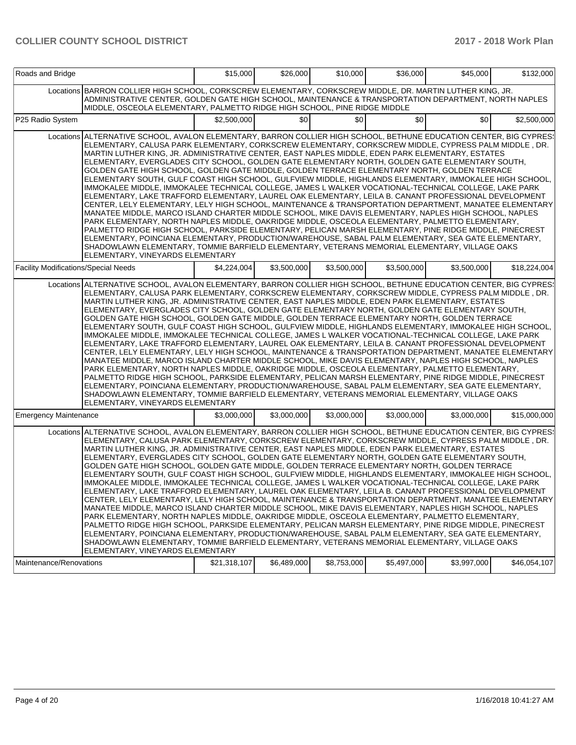| Roads and Bridge                            |                                                                                                                                                                                                                                                                                                                                                                                                                                                                                                                                                                                                                                                                                                                                                                                                                                                                                                                                                                                                                                                                                                                                                                                                                                                                                                                                                                                                                                                                                                                                              | \$15,000     | \$26,000         | \$10,000    | \$36,000    | \$45,000    | \$132,000    |
|---------------------------------------------|----------------------------------------------------------------------------------------------------------------------------------------------------------------------------------------------------------------------------------------------------------------------------------------------------------------------------------------------------------------------------------------------------------------------------------------------------------------------------------------------------------------------------------------------------------------------------------------------------------------------------------------------------------------------------------------------------------------------------------------------------------------------------------------------------------------------------------------------------------------------------------------------------------------------------------------------------------------------------------------------------------------------------------------------------------------------------------------------------------------------------------------------------------------------------------------------------------------------------------------------------------------------------------------------------------------------------------------------------------------------------------------------------------------------------------------------------------------------------------------------------------------------------------------------|--------------|------------------|-------------|-------------|-------------|--------------|
|                                             | Locations BARRON COLLIER HIGH SCHOOL, CORKSCREW ELEMENTARY, CORKSCREW MIDDLE, DR. MARTIN LUTHER KING, JR.<br>ADMINISTRATIVE CENTER, GOLDEN GATE HIGH SCHOOL, MAINTENANCE & TRANSPORTATION DEPARTMENT, NORTH NAPLES<br>MIDDLE, OSCEOLA ELEMENTARY, PALMETTO RIDGE HIGH SCHOOL, PINE RIDGE MIDDLE                                                                                                                                                                                                                                                                                                                                                                                                                                                                                                                                                                                                                                                                                                                                                                                                                                                                                                                                                                                                                                                                                                                                                                                                                                              |              |                  |             |             |             |              |
| P25 Radio System                            |                                                                                                                                                                                                                                                                                                                                                                                                                                                                                                                                                                                                                                                                                                                                                                                                                                                                                                                                                                                                                                                                                                                                                                                                                                                                                                                                                                                                                                                                                                                                              | \$2,500,000  | \$0 <sub>1</sub> | \$0         | \$0         | \$0         | \$2,500,000  |
|                                             | Locations ALTERNATIVE SCHOOL, AVALON ELEMENTARY, BARRON COLLIER HIGH SCHOOL, BETHUNE EDUCATION CENTER, BIG CYPRES!<br>ELEMENTARY, CALUSA PARK ELEMENTARY, CORKSCREW ELEMENTARY, CORKSCREW MIDDLE, CYPRESS PALM MIDDLE , DR.<br>MARTIN LUTHER KING, JR. ADMINISTRATIVE CENTER, EAST NAPLES MIDDLE, EDEN PARK ELEMENTARY, ESTATES<br>ELEMENTARY, EVERGLADES CITY SCHOOL, GOLDEN GATE ELEMENTARY NORTH, GOLDEN GATE ELEMENTARY SOUTH,<br>GOLDEN GATE HIGH SCHOOL, GOLDEN GATE MIDDLE, GOLDEN TERRACE ELEMENTARY NORTH, GOLDEN TERRACE<br>ELEMENTARY SOUTH, GULF COAST HIGH SCHOOL, GULFVIEW MIDDLE, HIGHLANDS ELEMENTARY, IMMOKALEE HIGH SCHOOL,<br>IMMOKALEE MIDDLE, IMMOKALEE TECHNICAL COLLEGE, JAMES L WALKER VOCATIONAL-TECHNICAL COLLEGE, LAKE PARK<br>ELEMENTARY, LAKE TRAFFORD ELEMENTARY, LAUREL OAK ELEMENTARY, LEILA B. CANANT PROFESSIONAL DEVELOPMENT<br>CENTER, LELY ELEMENTARY, LELY HIGH SCHOOL, MAINTENANCE & TRANSPORTATION DEPARTMENT, MANATEE ELEMENTARY<br>MANATEE MIDDLE, MARCO ISLAND CHARTER MIDDLE SCHOOL, MIKE DAVIS ELEMENTARY, NAPLES HIGH SCHOOL, NAPLES<br>PARK ELEMENTARY, NORTH NAPLES MIDDLE, OAKRIDGE MIDDLE, OSCEOLA ELEMENTARY, PALMETTO ELEMENTARY,<br>PALMETTO RIDGE HIGH SCHOOL, PARKSIDE ELEMENTARY, PELICAN MARSH ELEMENTARY, PINE RIDGE MIDDLE, PINECREST<br>ELEMENTARY, POINCIANA ELEMENTARY, PRODUCTION/WAREHOUSE, SABAL PALM ELEMENTARY, SEA GATE ELEMENTARY,<br>SHADOWLAWN ELEMENTARY, TOMMIE BARFIELD ELEMENTARY, VETERANS MEMORIAL ELEMENTARY, VILLAGE OAKS<br>ELEMENTARY, VINEYARDS ELEMENTARY |              |                  |             |             |             |              |
| <b>Facility Modifications/Special Needs</b> |                                                                                                                                                                                                                                                                                                                                                                                                                                                                                                                                                                                                                                                                                                                                                                                                                                                                                                                                                                                                                                                                                                                                                                                                                                                                                                                                                                                                                                                                                                                                              | \$4.224.004  | \$3,500,000      | \$3,500,000 | \$3,500,000 | \$3,500,000 | \$18,224,004 |
|                                             | Locations ALTERNATIVE SCHOOL, AVALON ELEMENTARY, BARRON COLLIER HIGH SCHOOL, BETHUNE EDUCATION CENTER, BIG CYPRES<br>ELEMENTARY, CALUSA PARK ELEMENTARY, CORKSCREW ELEMENTARY, CORKSCREW MIDDLE, CYPRESS PALM MIDDLE, DR.<br>MARTIN LUTHER KING. JR. ADMINISTRATIVE CENTER. EAST NAPLES MIDDLE. EDEN PARK ELEMENTARY. ESTATES<br>ELEMENTARY, EVERGLADES CITY SCHOOL, GOLDEN GATE ELEMENTARY NORTH, GOLDEN GATE ELEMENTARY SOUTH,<br>GOLDEN GATE HIGH SCHOOL, GOLDEN GATE MIDDLE, GOLDEN TERRACE ELEMENTARY NORTH, GOLDEN TERRACE<br>ELEMENTARY SOUTH, GULF COAST HIGH SCHOOL, GULFVIEW MIDDLE, HIGHLANDS ELEMENTARY, IMMOKALEE HIGH SCHOOL,<br>IMMOKALEE MIDDLE, IMMOKALEE TECHNICAL COLLEGE, JAMES L WALKER VOCATIONAL-TECHNICAL COLLEGE, LAKE PARK<br>ELEMENTARY, LAKE TRAFFORD ELEMENTARY, LAUREL OAK ELEMENTARY, LEILA B. CANANT PROFESSIONAL DEVELOPMENT<br>CENTER, LELY ELEMENTARY, LELY HIGH SCHOOL, MAINTENANCE & TRANSPORTATION DEPARTMENT, MANATEE ELEMENTARY<br>MANATEE MIDDLE, MARCO ISLAND CHARTER MIDDLE SCHOOL, MIKE DAVIS ELEMENTARY, NAPLES HIGH SCHOOL, NAPLES<br>PARK ELEMENTARY, NORTH NAPLES MIDDLE, OAKRIDGE MIDDLE, OSCEOLA ELEMENTARY, PALMETTO ELEMENTARY,<br>PALMETTO RIDGE HIGH SCHOOL, PARKSIDE ELEMENTARY, PELICAN MARSH ELEMENTARY, PINE RIDGE MIDDLE, PINECREST<br>ELEMENTARY, POINCIANA ELEMENTARY, PRODUCTION/WAREHOUSE, SABAL PALM ELEMENTARY, SEA GATE ELEMENTARY,<br>SHADOWLAWN ELEMENTARY, TOMMIE BARFIELD ELEMENTARY, VETERANS MEMORIAL ELEMENTARY, VILLAGE OAKS<br>ELEMENTARY, VINEYARDS ELEMENTARY   |              |                  |             |             |             |              |
| <b>Emergency Maintenance</b>                |                                                                                                                                                                                                                                                                                                                                                                                                                                                                                                                                                                                                                                                                                                                                                                                                                                                                                                                                                                                                                                                                                                                                                                                                                                                                                                                                                                                                                                                                                                                                              | \$3,000,000  | \$3,000,000      | \$3,000,000 | \$3,000,000 | \$3,000,000 | \$15,000,000 |
|                                             | Locations ALTERNATIVE SCHOOL, AVALON ELEMENTARY, BARRON COLLIER HIGH SCHOOL, BETHUNE EDUCATION CENTER, BIG CYPRES!<br>ELEMENTARY, CALUSA PARK ELEMENTARY, CORKSCREW ELEMENTARY, CORKSCREW MIDDLE, CYPRESS PALM MIDDLE , DR.<br>MARTIN LUTHER KING, JR. ADMINISTRATIVE CENTER, EAST NAPLES MIDDLE, EDEN PARK ELEMENTARY, ESTATES<br>ELEMENTARY, EVERGLADES CITY SCHOOL, GOLDEN GATE ELEMENTARY NORTH, GOLDEN GATE ELEMENTARY SOUTH,<br>GOLDEN GATE HIGH SCHOOL, GOLDEN GATE MIDDLE, GOLDEN TERRACE ELEMENTARY NORTH, GOLDEN TERRACE<br>ELEMENTARY SOUTH, GULF COAST HIGH SCHOOL, GULFVIEW MIDDLE, HIGHLANDS ELEMENTARY, IMMOKALEE HIGH SCHOOL,<br>IMMOKALEE MIDDLE, IMMOKALEE TECHNICAL COLLEGE, JAMES L WALKER VOCATIONAL-TECHNICAL COLLEGE, LAKE PARK<br>ELEMENTARY, LAKE TRAFFORD ELEMENTARY, LAUREL OAK ELEMENTARY, LEILA B. CANANT PROFESSIONAL DEVELOPMENT<br>CENTER, LELY ELEMENTARY, LELY HIGH SCHOOL, MAINTENANCE & TRANSPORTATION DEPARTMENT, MANATEE ELEMENTARY<br>MANATEE MIDDLE, MARCO ISLAND CHARTER MIDDLE SCHOOL, MIKE DAVIS ELEMENTARY, NAPLES HIGH SCHOOL, NAPLES<br>PARK ELEMENTARY, NORTH NAPLES MIDDLE, OAKRIDGE MIDDLE, OSCEOLA ELEMENTARY, PALMETTO ELEMENTARY,<br>PALMETTO RIDGE HIGH SCHOOL, PARKSIDE ELEMENTARY, PELICAN MARSH ELEMENTARY, PINE RIDGE MIDDLE, PINECREST<br>ELEMENTARY, POINCIANA ELEMENTARY, PRODUCTION/WAREHOUSE, SABAL PALM ELEMENTARY, SEA GATE ELEMENTARY,<br>SHADOWLAWN ELEMENTARY, TOMMIE BARFIELD ELEMENTARY, VETERANS MEMORIAL ELEMENTARY, VILLAGE OAKS<br>ELEMENTARY, VINEYARDS ELEMENTARY |              |                  |             |             |             |              |
| Maintenance/Renovations                     |                                                                                                                                                                                                                                                                                                                                                                                                                                                                                                                                                                                                                                                                                                                                                                                                                                                                                                                                                                                                                                                                                                                                                                                                                                                                                                                                                                                                                                                                                                                                              | \$21,318,107 | \$6,489,000      | \$8,753,000 | \$5,497,000 | \$3,997,000 | \$46,054,107 |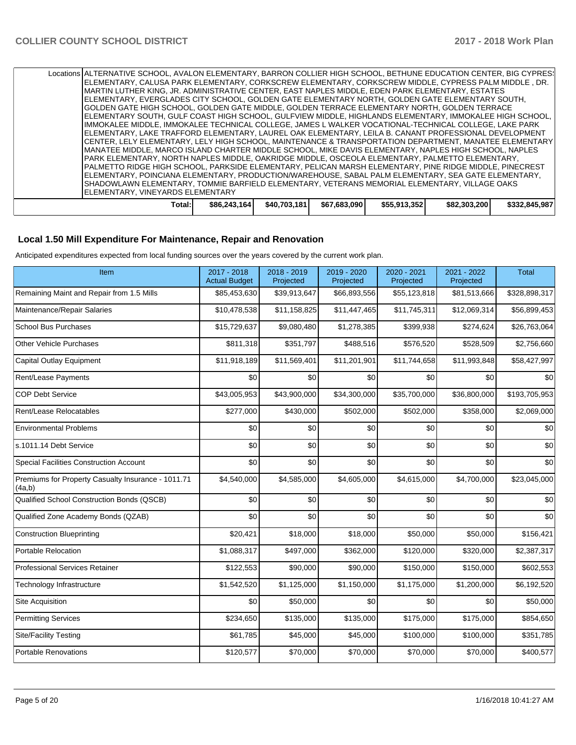| Locations ALTERNATIVE SCHOOL, AVALON ELEMENTARY, BARRON COLLIER HIGH SCHOOL, BETHUNE EDUCATION CENTER, BIG CYPRES! |              |              |              |              |              |               |
|--------------------------------------------------------------------------------------------------------------------|--------------|--------------|--------------|--------------|--------------|---------------|
| IELEMENTARY, CALUSA PARK ELEMENTARY, CORKSCREW ELEMENTARY, CORKSCREW MIDDLE, CYPRESS PALM MIDDLE , DR.             |              |              |              |              |              |               |
| IMARTIN LUTHER KING. JR. ADMINISTRATIVE CENTER. EAST NAPLES MIDDLE. EDEN PARK ELEMENTARY. ESTATES                  |              |              |              |              |              |               |
| IELEMENTARY. EVERGLADES CITY SCHOOL. GOLDEN GATE ELEMENTARY NORTH. GOLDEN GATE ELEMENTARY SOUTH.                   |              |              |              |              |              |               |
| IGOLDEN GATE HIGH SCHOOL. GOLDEN GATE MIDDLE. GOLDEN TERRACE ELEMENTARY NORTH. GOLDEN TERRACE                      |              |              |              |              |              |               |
| ELEMENTARY SOUTH, GULF COAST HIGH SCHOOL, GULFVIEW MIDDLE, HIGHLANDS ELEMENTARY, IMMOKALEE HIGH SCHOOL,            |              |              |              |              |              |               |
| IIMMOKALEE MIDDLE. IMMOKALEE TECHNICAL COLLEGE. JAMES L WALKER VOCATIONAL-TECHNICAL COLLEGE. LAKE PARK             |              |              |              |              |              |               |
| IELEMENTARY. LAKE TRAFFORD ELEMENTARY. LAUREL OAK ELEMENTARY. LEILA B. CANANT PROFESSIONAL DEVELOPMENT             |              |              |              |              |              |               |
| ICENTER. LELY ELEMENTARY. LELY HIGH SCHOOL. MAINTENANCE & TRANSPORTATION DEPARTMENT. MANATEE ELEMENTARY            |              |              |              |              |              |               |
| IMANATEE MIDDLE. MARCO ISLAND CHARTER MIDDLE SCHOOL. MIKE DAVIS ELEMENTARY. NAPLES HIGH SCHOOL. NAPLES             |              |              |              |              |              |               |
| IPARK ELEMENTARY. NORTH NAPLES MIDDLE. OAKRIDGE MIDDLE. OSCEOLA ELEMENTARY. PALMETTO ELEMENTARY.                   |              |              |              |              |              |               |
| IPALMETTO RIDGE HIGH SCHOOL. PARKSIDE ELEMENTARY. PELICAN MARSH ELEMENTARY. PINE RIDGE MIDDLE. PINECREST           |              |              |              |              |              |               |
| IELEMENTARY, POINCIANA ELEMENTARY, PRODUCTION/WAREHOUSE, SABAL PALM ELEMENTARY, SEA GATE ELEMENTARY,               |              |              |              |              |              |               |
| ISHADOWLAWN ELEMENTARY. TOMMIE BARFIELD ELEMENTARY. VETERANS MEMORIAL ELEMENTARY. VILLAGE OAKS                     |              |              |              |              |              |               |
| IELEMENTARY. VINEYARDS ELEMENTARY                                                                                  |              |              |              |              |              |               |
| Total:                                                                                                             | \$86,243,164 | \$40.703.181 | \$67,683,090 | \$55,913,352 | \$82,303,200 | \$332,845,987 |

## **Local 1.50 Mill Expenditure For Maintenance, Repair and Renovation**

Anticipated expenditures expected from local funding sources over the years covered by the current work plan.

| Item                                                         | 2017 - 2018<br><b>Actual Budget</b> | 2018 - 2019<br>Projected | 2019 - 2020<br>Projected | 2020 - 2021<br>Projected | 2021 - 2022<br>Projected | <b>Total</b>  |
|--------------------------------------------------------------|-------------------------------------|--------------------------|--------------------------|--------------------------|--------------------------|---------------|
| Remaining Maint and Repair from 1.5 Mills                    | \$85,453,630                        | \$39,913,647             | \$66,893,556             | \$55,123,818             | \$81,513,666             | \$328,898,317 |
| Maintenance/Repair Salaries                                  | \$10,478,538                        | \$11,158,825             | \$11,447,465             | \$11,745,311             | \$12,069,314             | \$56,899,453  |
| <b>School Bus Purchases</b>                                  | \$15,729,637                        | \$9,080,480              | \$1,278,385              | \$399,938                | \$274,624                | \$26,763,064  |
| <b>Other Vehicle Purchases</b>                               | \$811,318                           | \$351,797                | \$488,516                | \$576,520                | \$528,509                | \$2,756,660   |
| <b>Capital Outlay Equipment</b>                              | \$11,918,189                        | \$11,569,401             | \$11,201,901             | \$11,744,658             | \$11,993,848             | \$58,427,997  |
| Rent/Lease Payments                                          | \$0                                 | \$0                      | \$0                      | \$0                      | \$0                      | \$0           |
| <b>COP Debt Service</b>                                      | \$43,005,953                        | \$43,900,000             | \$34,300,000             | \$35,700,000             | \$36,800,000             | \$193,705,953 |
| Rent/Lease Relocatables                                      | \$277,000                           | \$430,000                | \$502,000                | \$502,000                | \$358,000                | \$2,069,000   |
| <b>Environmental Problems</b>                                | \$0                                 | \$0                      | \$0                      | \$0                      | \$0                      | \$0           |
| s.1011.14 Debt Service                                       | \$0                                 | \$0                      | \$0                      | \$0                      | \$0                      | \$0           |
| <b>Special Facilities Construction Account</b>               | \$0                                 | \$0                      | \$0                      | \$0                      | \$0                      | \$0           |
| Premiums for Property Casualty Insurance - 1011.71<br>(4a,b) | \$4,540,000                         | \$4,585,000              | \$4,605,000              | \$4,615,000              | \$4,700,000              | \$23,045,000  |
| Qualified School Construction Bonds (QSCB)                   | \$0                                 | \$0                      | \$0                      | \$0                      | \$0                      | \$0           |
| Qualified Zone Academy Bonds (QZAB)                          | \$0                                 | \$0                      | \$0                      | \$0                      | \$0                      | \$0           |
| <b>Construction Blueprinting</b>                             | \$20,421                            | \$18,000                 | \$18,000                 | \$50,000                 | \$50,000                 | \$156,421     |
| <b>Portable Relocation</b>                                   | \$1,088,317                         | \$497,000                | \$362,000                | \$120,000                | \$320,000                | \$2,387,317   |
| <b>Professional Services Retainer</b>                        | \$122,553                           | \$90,000                 | \$90,000                 | \$150,000                | \$150,000                | \$602,553     |
| Technology Infrastructure                                    | \$1,542,520                         | \$1,125,000              | \$1,150,000              | \$1,175,000              | \$1,200,000              | \$6,192,520   |
| Site Acquisition                                             | \$0                                 | \$50,000                 | \$0                      | \$0                      | \$0                      | \$50,000      |
| <b>Permitting Services</b>                                   | \$234,650                           | \$135,000                | \$135,000                | \$175,000                | \$175,000                | \$854,650     |
| <b>Site/Facility Testing</b>                                 | \$61,785                            | \$45,000                 | \$45,000                 | \$100,000                | \$100,000                | \$351,785     |
| <b>Portable Renovations</b>                                  | \$120,577                           | \$70,000                 | \$70,000                 | \$70,000                 | \$70,000                 | \$400,577     |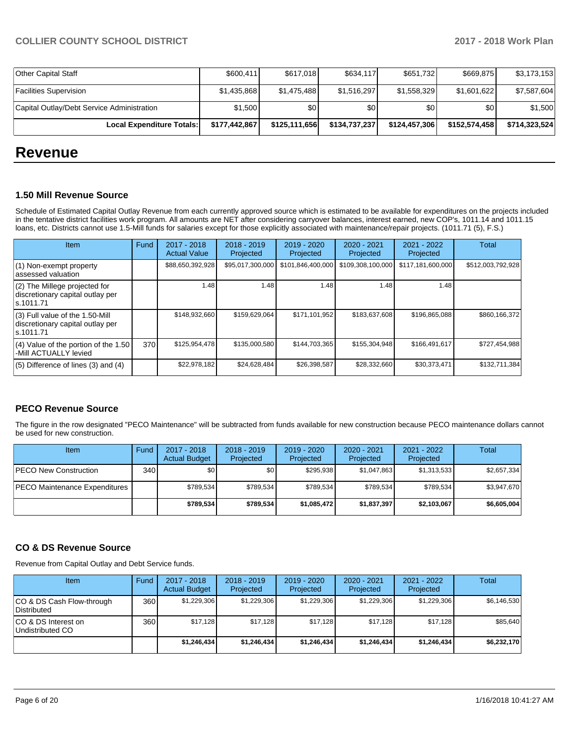| Local Expenditure Totals:                  | \$177,442,867 | \$125,111,656 | \$134,737,237 | \$124,457,306    | \$152,574,458 | \$714,323,524 |
|--------------------------------------------|---------------|---------------|---------------|------------------|---------------|---------------|
| Capital Outlay/Debt Service Administration | \$1,500       | \$0           | \$0           | \$0 <sub>1</sub> | \$0           | \$1,500       |
| <b>Facilities Supervision</b>              | \$1,435,868   | \$1.475.488   | \$1,516,297   | \$1,558,329      | \$1,601,622   | \$7,587,604   |
| <b>Other Capital Staff</b>                 | \$600,411     | \$617,018     | \$634,117     | \$651,732        | \$669.875     | \$3,173,153   |

## **Revenue**

#### **1.50 Mill Revenue Source**

Schedule of Estimated Capital Outlay Revenue from each currently approved source which is estimated to be available for expenditures on the projects included in the tentative district facilities work program. All amounts are NET after considering carryover balances, interest earned, new COP's, 1011.14 and 1011.15 loans, etc. Districts cannot use 1.5-Mill funds for salaries except for those explicitly associated with maintenance/repair projects. (1011.71 (5), F.S.)

| <b>Item</b>                                                                         | Fund | $2017 - 2018$<br><b>Actual Value</b> | $2018 - 2019$<br>Projected | $2019 - 2020$<br>Projected | $2020 - 2021$<br>Projected | 2021 - 2022<br>Projected | <b>Total</b>      |
|-------------------------------------------------------------------------------------|------|--------------------------------------|----------------------------|----------------------------|----------------------------|--------------------------|-------------------|
| (1) Non-exempt property<br>lassessed valuation                                      |      | \$88,650,392,928                     | \$95,017,300,000           | \$101,846,400,000          | \$109,308,100,000          | \$117,181,600,000        | \$512,003,792,928 |
| $(2)$ The Millege projected for<br>discretionary capital outlay per<br>ls.1011.71   |      | 1.48                                 | 1.48                       | 1.48                       | 1.48                       | 1.48                     |                   |
| $(3)$ Full value of the 1.50-Mill<br>discretionary capital outlay per<br>ls.1011.71 |      | \$148,932,660                        | \$159,629,064              | \$171,101,952              | \$183,637,608              | \$196,865,088            | \$860,166,372     |
| $(4)$ Value of the portion of the 1.50<br>-Mill ACTUALLY levied                     | 370  | \$125,954,478                        | \$135,000,580              | \$144,703,365              | \$155,304,948              | \$166,491,617            | \$727,454,988     |
| $(5)$ Difference of lines $(3)$ and $(4)$                                           |      | \$22,978,182                         | \$24,628,484               | \$26,398,587               | \$28,332,660               | \$30,373,471             | \$132,711,384     |

### **PECO Revenue Source**

The figure in the row designated "PECO Maintenance" will be subtracted from funds available for new construction because PECO maintenance dollars cannot be used for new construction.

| <b>Item</b>                   | Fund  | $2017 - 2018$<br><b>Actual Budget</b> | $2018 - 2019$<br>Projected | 2019 - 2020<br>Projected | $2020 - 2021$<br>Projected | $2021 - 2022$<br>Projected | <b>Total</b> |
|-------------------------------|-------|---------------------------------------|----------------------------|--------------------------|----------------------------|----------------------------|--------------|
| PECO New Construction         | 340 I | <b>\$0</b>                            | \$0 <sub>1</sub>           | \$295.938                | \$1.047.863                | \$1,313,533                | \$2,657,334  |
| PECO Maintenance Expenditures |       | \$789.534                             | \$789.534                  | \$789.534                | \$789.534                  | \$789.534                  | \$3,947,670  |
|                               |       | \$789,534                             | \$789,534                  | \$1,085,472              | \$1,837,397                | \$2,103,067                | \$6,605,004  |

#### **CO & DS Revenue Source**

Revenue from Capital Outlay and Debt Service funds.

| Item                                      | Fund | $2017 - 2018$<br><b>Actual Budget</b> | $2018 - 2019$<br>Projected | $2019 - 2020$<br>Projected | $2020 - 2021$<br>Projected | 2021 - 2022<br>Projected | <b>Total</b> |
|-------------------------------------------|------|---------------------------------------|----------------------------|----------------------------|----------------------------|--------------------------|--------------|
| ICO & DS Cash Flow-through<br>Distributed | 360  | \$1,229,306                           | \$1,229,306                | \$1,229,306                | \$1,229,306                | \$1,229,306              | \$6,146,530  |
| ICO & DS Interest on<br>Undistributed CO  | 360  | \$17,128                              | \$17,128                   | \$17.128                   | \$17.128                   | \$17.128                 | \$85,640     |
|                                           |      | \$1,246,434                           | \$1,246,434                | \$1,246,434                | \$1,246,434                | \$1,246,434              | \$6,232,170  |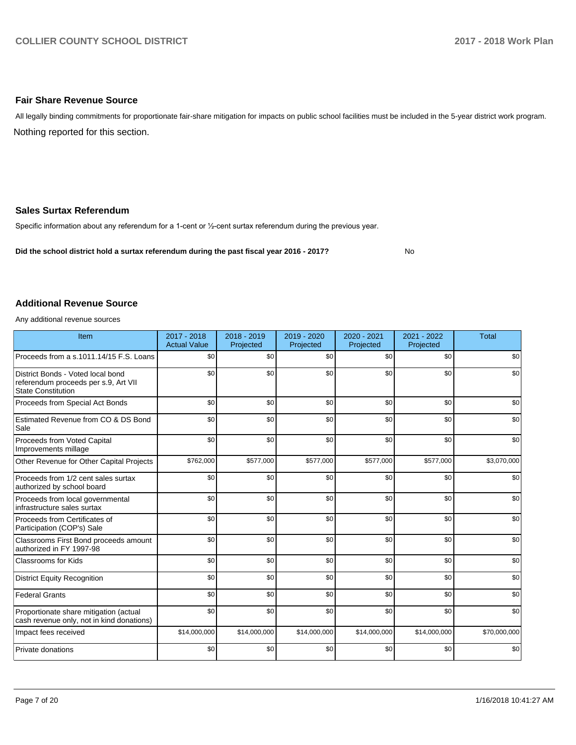### **Fair Share Revenue Source**

Nothing reported for this section. All legally binding commitments for proportionate fair-share mitigation for impacts on public school facilities must be included in the 5-year district work program.

### **Sales Surtax Referendum**

Specific information about any referendum for a 1-cent or 1/2-cent surtax referendum during the previous year.

**Did the school district hold a surtax referendum during the past fiscal year 2016 - 2017?**

No

### **Additional Revenue Source**

Any additional revenue sources

| Item                                                                                                   | 2017 - 2018<br><b>Actual Value</b> | 2018 - 2019<br>Projected | 2019 - 2020<br>Projected | 2020 - 2021<br>Projected | $2021 - 2022$<br>Projected | <b>Total</b> |
|--------------------------------------------------------------------------------------------------------|------------------------------------|--------------------------|--------------------------|--------------------------|----------------------------|--------------|
| Proceeds from a s.1011.14/15 F.S. Loans                                                                | \$0                                | \$0                      | \$0                      | \$0                      | \$0                        | \$0          |
| District Bonds - Voted local bond<br>referendum proceeds per s.9, Art VII<br><b>State Constitution</b> | \$0                                | \$0                      | \$0                      | \$0                      | \$0                        | \$0          |
| Proceeds from Special Act Bonds                                                                        | \$0                                | \$0                      | \$0                      | \$0                      | \$0                        | \$0          |
| Estimated Revenue from CO & DS Bond<br>Sale                                                            | \$0                                | \$0                      | \$0                      | \$0                      | \$0                        | \$0          |
| Proceeds from Voted Capital<br>Improvements millage                                                    | \$0                                | \$0                      | \$0                      | \$0                      | \$0                        | \$0          |
| Other Revenue for Other Capital Projects                                                               | \$762,000                          | \$577,000                | \$577,000                | \$577,000                | \$577,000                  | \$3,070,000  |
| Proceeds from 1/2 cent sales surtax<br>authorized by school board                                      | \$0                                | \$0                      | \$0                      | \$0                      | \$0                        | \$0          |
| Proceeds from local governmental<br>infrastructure sales surtax                                        | \$0                                | \$0                      | \$0                      | \$0                      | \$0                        | \$0          |
| Proceeds from Certificates of<br>Participation (COP's) Sale                                            | \$0                                | \$0                      | \$0                      | \$0                      | \$0                        | \$0          |
| Classrooms First Bond proceeds amount<br>authorized in FY 1997-98                                      | \$0                                | \$0                      | \$0                      | \$0                      | \$0                        | \$0          |
| <b>Classrooms for Kids</b>                                                                             | \$0                                | \$0                      | \$0                      | \$0                      | \$0                        | \$0          |
| <b>District Equity Recognition</b>                                                                     | \$0                                | \$0                      | \$0                      | \$0                      | \$0                        | \$0          |
| <b>Federal Grants</b>                                                                                  | \$0                                | \$0                      | \$0                      | \$0                      | \$0                        | \$0          |
| Proportionate share mitigation (actual<br>cash revenue only, not in kind donations)                    | \$0                                | \$0                      | \$0                      | \$0                      | \$0                        | \$0          |
| Impact fees received                                                                                   | \$14,000,000                       | \$14,000,000             | \$14,000,000             | \$14,000,000             | \$14,000,000               | \$70,000,000 |
| Private donations                                                                                      | \$0                                | \$0                      | \$0                      | \$0                      | \$0                        | \$0          |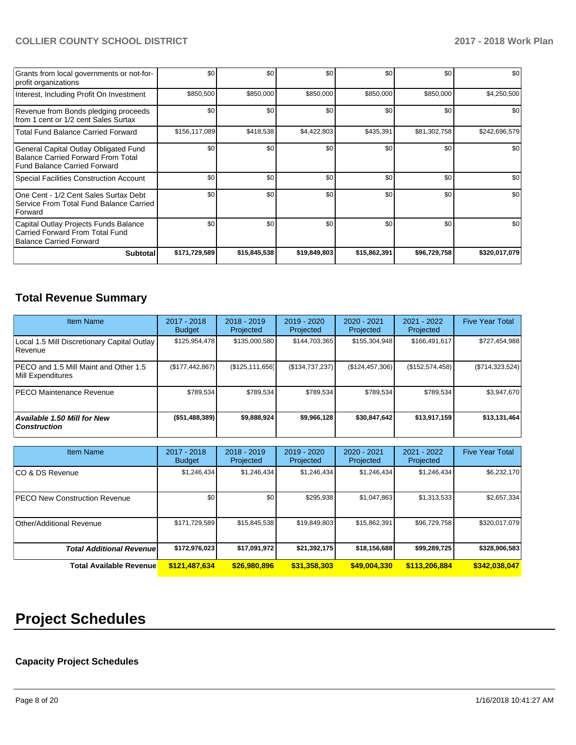| Grants from local governments or not-for-<br>profit organizations                                                         | \$0           | \$0          | \$0          | \$0          | \$0          | \$0           |
|---------------------------------------------------------------------------------------------------------------------------|---------------|--------------|--------------|--------------|--------------|---------------|
| Interest, Including Profit On Investment                                                                                  | \$850,500     | \$850,000    | \$850,000    | \$850,000    | \$850,000    | \$4,250,500   |
| Revenue from Bonds pledging proceeds<br>from 1 cent or 1/2 cent Sales Surtax                                              | \$0           | \$0          | \$0          | \$0          | \$0          | \$0           |
| <b>Total Fund Balance Carried Forward</b>                                                                                 | \$156,117,089 | \$418,538    | \$4,422,803  | \$435,391    | \$81,302,758 | \$242,696,579 |
| General Capital Outlay Obligated Fund<br><b>Balance Carried Forward From Total</b><br><b>Fund Balance Carried Forward</b> | \$0           | \$0          | \$0          | \$0          | \$0          | \$0           |
| <b>Special Facilities Construction Account</b>                                                                            | \$0           | \$0          | \$0          | \$0          | \$0          | \$0           |
| One Cent - 1/2 Cent Sales Surtax Debt<br>Service From Total Fund Balance Carried<br>Forward                               | \$0           | \$0          | \$0          | \$0          | \$0          | \$0           |
| Capital Outlay Projects Funds Balance<br>Carried Forward From Total Fund<br><b>Balance Carried Forward</b>                | \$0           | \$0          | \$0          | \$0          | \$0          | \$0           |
| Subtotal                                                                                                                  | \$171,729,589 | \$15,845,538 | \$19,849,803 | \$15,862,391 | \$96,729,758 | \$320,017,079 |

## **Total Revenue Summary**

| <b>Item Name</b>                                           | $2017 - 2018$<br><b>Budget</b> | $2018 - 2019$<br>Projected | $2019 - 2020$<br>Projected | $2020 - 2021$<br>Projected | $2021 - 2022$<br>Projected | <b>Five Year Total</b> |
|------------------------------------------------------------|--------------------------------|----------------------------|----------------------------|----------------------------|----------------------------|------------------------|
| Local 1.5 Mill Discretionary Capital Outlay<br>Revenue     | \$125,954,478                  | \$135,000,580              | \$144,703,365              | \$155,304,948              | \$166,491,617              | \$727,454,988          |
| PECO and 1.5 Mill Maint and Other 1.5<br>Mill Expenditures | (\$177, 442, 867)              | (\$125, 111, 656)          | (\$134,737,237)            | (\$124, 457, 306)          | (\$152,574,458)            | (\$714,323,524)        |
| <b>IPECO Maintenance Revenue</b>                           | \$789.534                      | \$789,534                  | \$789,534                  | \$789.534                  | \$789,534                  | \$3,947,670            |
| Available 1.50 Mill for New<br><b>Construction</b>         | (\$51,488,389)                 | \$9,888,924                | \$9,966,128                | \$30,847,642               | \$13,917,159               | \$13,131,464           |

| <b>Item Name</b>                     | 2017 - 2018<br><b>Budget</b> | $2018 - 2019$<br>Projected | 2019 - 2020<br>Projected | $2020 - 2021$<br>Projected | 2021 - 2022<br>Projected | <b>Five Year Total</b> |
|--------------------------------------|------------------------------|----------------------------|--------------------------|----------------------------|--------------------------|------------------------|
| ICO & DS Revenue                     | \$1,246,434                  | \$1,246,434                | \$1,246,434              | \$1,246,434                | \$1,246,434              | \$6,232,170            |
| <b>PECO New Construction Revenue</b> | \$0                          | \$0                        | \$295.938                | \$1,047,863                | \$1,313,533              | \$2,657,334            |
| Other/Additional Revenue             | \$171,729,589                | \$15,845,538               | \$19,849,803             | \$15,862,391               | \$96,729,758             | \$320,017,079          |
| <b>Total Additional Revenuel</b>     | \$172,976,023                | \$17,091,972               | \$21,392,175             | \$18,156,688               | \$99,289,725             | \$328,906,583          |
| <b>Total Available Revenue</b>       | \$121,487,634                | \$26,980,896               | \$31,358,303             | \$49,004,330               | \$113,206,884            | \$342,038,047          |

# **Project Schedules**

## **Capacity Project Schedules**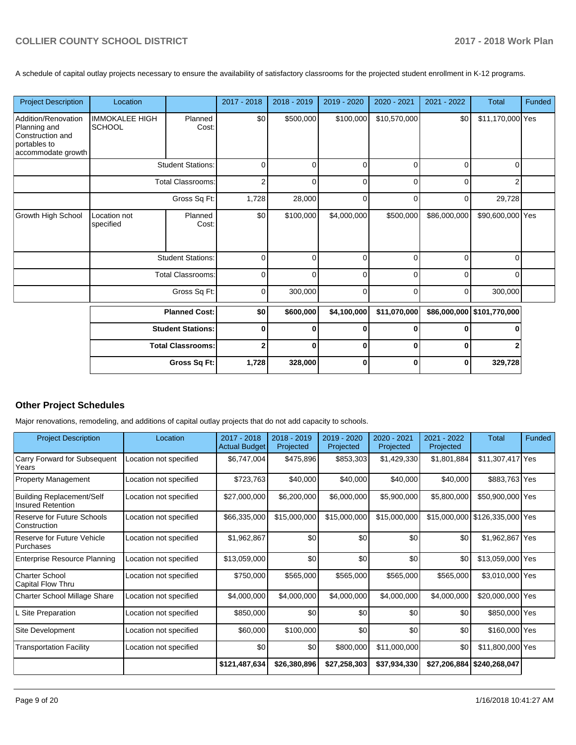A schedule of capital outlay projects necessary to ensure the availability of satisfactory classrooms for the projected student enrollment in K-12 programs.

| <b>Project Description</b>                                                                    | Location                               |                          | 2017 - 2018    | 2018 - 2019 | 2019 - 2020 | 2020 - 2021  | 2021 - 2022  | <b>Total</b>     | Funded |
|-----------------------------------------------------------------------------------------------|----------------------------------------|--------------------------|----------------|-------------|-------------|--------------|--------------|------------------|--------|
| Addition/Renovation<br>Planning and<br>Construction and<br>portables to<br>accommodate growth | <b>IMMOKALEE HIGH</b><br><b>SCHOOL</b> | Planned<br>Cost:         | \$0            | \$500,000   | \$100,000   | \$10,570,000 | \$0          | \$11,170,000 Yes |        |
|                                                                                               |                                        | <b>Student Stations:</b> | 0              | $\Omega$    | $\Omega$    | $\Omega$     | $\Omega$     | 0                |        |
|                                                                                               |                                        | <b>Total Classrooms:</b> | $\overline{2}$ | 0           | $\Omega$    | 0            | $\Omega$     | 2                |        |
|                                                                                               | Gross Sq Ft:                           |                          | 1,728          | 28,000      | 0           | $\Omega$     | 0            | 29,728           |        |
| <b>Growth High School</b>                                                                     | Location not<br>specified              | Planned<br>Cost:         | \$0            | \$100,000   | \$4,000,000 | \$500,000    | \$86,000,000 | \$90,600,000 Yes |        |
|                                                                                               |                                        | <b>Student Stations:</b> | 0              | 0           | $\Omega$    | $\Omega$     | $\Omega$     | 0                |        |
|                                                                                               |                                        | <b>Total Classrooms:</b> | $\Omega$       | 0           | $\Omega$    | $\Omega$     | $\Omega$     | 0                |        |
|                                                                                               |                                        | Gross Sq Ft:             |                | 300,000     | $\mathbf 0$ | $\Omega$     | $\mathbf 0$  | 300,000          |        |
|                                                                                               | <b>Planned Cost:</b>                   |                          | \$0            | \$600,000   | \$4,100,000 | \$11,070,000 | \$86,000,000 | \$101,770,000    |        |
|                                                                                               |                                        | <b>Student Stations:</b> | $\bf{0}$       | O           | $\bf{0}$    |              | $\Omega$     |                  |        |
|                                                                                               | <b>Total Classrooms:</b>               |                          | $\overline{2}$ | 0           | $\bf{0}$    | 0            | 0            |                  |        |
|                                                                                               |                                        | Gross Sq Ft:             | 1,728          | 328,000     | $\mathbf 0$ | 0            | $\mathbf 0$  | 329,728          |        |

## **Other Project Schedules**

Major renovations, remodeling, and additions of capital outlay projects that do not add capacity to schools.

| <b>Project Description</b>                                   | Location               | 2017 - 2018<br><b>Actual Budget</b> | 2018 - 2019<br>Projected | 2019 - 2020<br>Projected | $2020 - 2021$<br>Projected | 2021 - 2022<br>Projected | Total                          | Funded |
|--------------------------------------------------------------|------------------------|-------------------------------------|--------------------------|--------------------------|----------------------------|--------------------------|--------------------------------|--------|
| Carry Forward for Subsequent<br>Years                        | Location not specified | \$6,747,004                         | \$475,896                | \$853,303                | \$1,429,330                | \$1,801,884              | \$11,307,417 Yes               |        |
| Property Management                                          | Location not specified | \$723,763                           | \$40,000                 | \$40,000                 | \$40,000                   | \$40,000                 | \$883,763 Yes                  |        |
| <b>Building Replacement/Self</b><br><b>Insured Retention</b> | Location not specified | \$27,000,000                        | \$6,200,000              | \$6,000,000              | \$5,900,000                | \$5,800,000              | \$50,900,000 Yes               |        |
| Reserve for Future Schools<br>Construction                   | Location not specified | \$66,335,000                        | \$15,000,000             | \$15,000,000             | \$15,000,000               |                          | \$15,000,000 \$126,335,000 Yes |        |
| Reserve for Future Vehicle<br>Purchases                      | Location not specified | \$1,962,867                         | \$0                      | \$0                      | \$0                        | \$0                      | \$1,962,867 Yes                |        |
| <b>Enterprise Resource Planning</b>                          | Location not specified | \$13,059,000                        | \$0                      | \$0                      | \$0                        | \$0                      | \$13,059,000 Yes               |        |
| Charter School<br>Capital Flow Thru                          | Location not specified | \$750,000                           | \$565,000                | \$565,000                | \$565,000                  | \$565,000                | \$3,010,000 Yes                |        |
| <b>Charter School Millage Share</b>                          | Location not specified | \$4,000,000                         | \$4,000,000              | \$4,000,000              | \$4,000,000                | \$4,000,000              | \$20,000,000 Yes               |        |
| Site Preparation                                             | Location not specified | \$850,000                           | \$0                      | \$0                      | \$0                        | \$0                      | \$850,000 Yes                  |        |
| Site Development                                             | Location not specified | \$60,000                            | \$100,000                | \$0                      | \$0                        | \$0                      | \$160,000 Yes                  |        |
| <b>Transportation Facility</b>                               | Location not specified | \$0                                 | \$0                      | \$800,000                | \$11,000,000               | \$0                      | \$11,800,000 Yes               |        |
|                                                              |                        | \$121,487,634                       | \$26,380,896             | \$27,258,303             | \$37,934,330               | \$27,206,884             | \$240,268,047                  |        |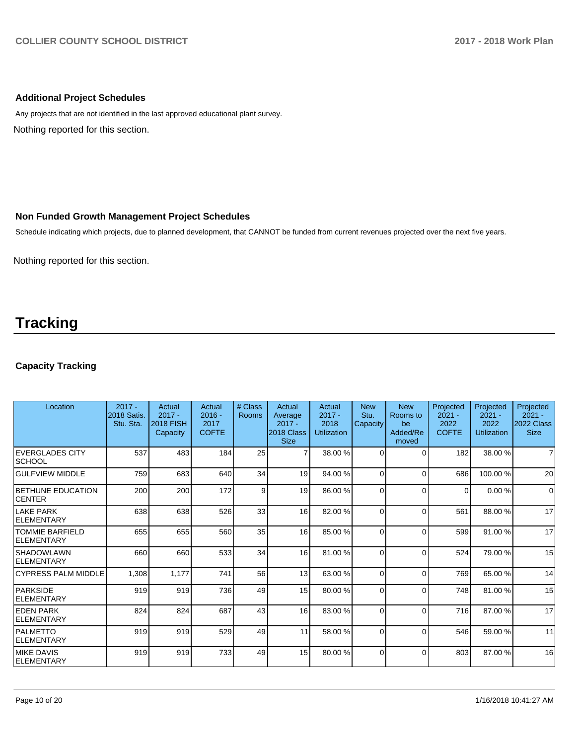## **Additional Project Schedules**

Nothing reported for this section. Any projects that are not identified in the last approved educational plant survey.

## **Non Funded Growth Management Project Schedules**

Schedule indicating which projects, due to planned development, that CANNOT be funded from current revenues projected over the next five years.

Nothing reported for this section.

## **Tracking**

## **Capacity Tracking**

| Location                                  | $2017 -$<br><b>2018 Satis.</b><br>Stu. Sta. | Actual<br>$2017 -$<br><b>2018 FISH</b><br>Capacity | Actual<br>$2016 -$<br>2017<br><b>COFTE</b> | # Class<br><b>Rooms</b> | Actual<br>Average<br>$2017 -$<br>2018 Class<br><b>Size</b> | Actual<br>$2017 -$<br>2018<br><b>Utilization</b> | <b>New</b><br>Stu.<br>Capacity | <b>New</b><br>Rooms to<br>be<br>Added/Re<br>moved | Projected<br>$2021 -$<br>2022<br><b>COFTE</b> | Projected<br>$2021 -$<br>2022<br><b>Utilization</b> | Projected<br>$2021 -$<br>2022 Class<br><b>Size</b> |
|-------------------------------------------|---------------------------------------------|----------------------------------------------------|--------------------------------------------|-------------------------|------------------------------------------------------------|--------------------------------------------------|--------------------------------|---------------------------------------------------|-----------------------------------------------|-----------------------------------------------------|----------------------------------------------------|
| <b>EVERGLADES CITY</b><br><b>SCHOOL</b>   | 537                                         | 483                                                | 184                                        | 25                      | $\overline{7}$                                             | 38.00 %                                          | $\Omega$                       | $\Omega$                                          | 182                                           | 38.00 %                                             | 7                                                  |
| <b>GULFVIEW MIDDLE</b>                    | 759                                         | 683                                                | 640                                        | 34                      | 19                                                         | 94.00 %                                          | $\Omega$                       | $\Omega$                                          | 686                                           | 100.00%                                             | 20                                                 |
| <b>BETHUNE EDUCATION</b><br><b>CENTER</b> | 200                                         | 200                                                | 172                                        | 9                       | 19                                                         | 86.00 %                                          | $\Omega$                       | $\Omega$                                          | $\Omega$                                      | 0.00%                                               | $\Omega$                                           |
| LAKE PARK<br>ELEMENTARY                   | 638                                         | 638                                                | 526                                        | 33                      | 16                                                         | 82.00 %                                          | $\Omega$                       | $\Omega$                                          | 561                                           | 88.00 %                                             | 17                                                 |
| <b>TOMMIE BARFIELD</b><br>ELEMENTARY      | 655                                         | 655                                                | 560                                        | 35                      | 16                                                         | 85.00 %                                          | $\Omega$                       | $\Omega$                                          | 599                                           | 91.00 %                                             | 17                                                 |
| <b>SHADOWLAWN</b><br>ELEMENTARY           | 660                                         | 660                                                | 533                                        | 34                      | 16                                                         | 81.00 %                                          | $\Omega$                       | $\Omega$                                          | 524                                           | 79.00 %                                             | 15                                                 |
| <b>CYPRESS PALM MIDDLE</b>                | 1,308                                       | 1,177                                              | 741                                        | 56                      | 13                                                         | 63.00 %                                          | $\Omega$                       | $\Omega$                                          | 769                                           | 65.00 %                                             | 14                                                 |
| PARKSIDE<br>ELEMENTARY                    | 919                                         | 919                                                | 736                                        | 49                      | 15                                                         | 80.00 %                                          | $\Omega$                       | $\Omega$                                          | 748                                           | 81.00 %                                             | 15                                                 |
| <b>EDEN PARK</b><br>ELEMENTARY            | 824                                         | 824                                                | 687                                        | 43                      | 16                                                         | 83.00 %                                          | $\Omega$                       | $\Omega$                                          | 716                                           | 87.00 %                                             | 17                                                 |
| PALMETTO<br>ELEMENTARY                    | 919                                         | 919                                                | 529                                        | 49                      | 11                                                         | 58.00 %                                          | $\Omega$                       | $\Omega$                                          | 546                                           | 59.00 %                                             | 11                                                 |
| <b>MIKE DAVIS</b><br>ELEMENTARY           | 919                                         | 919                                                | 733                                        | 49                      | 15                                                         | 80.00 %                                          | $\Omega$                       | $\Omega$                                          | 803                                           | 87.00 %                                             | 16                                                 |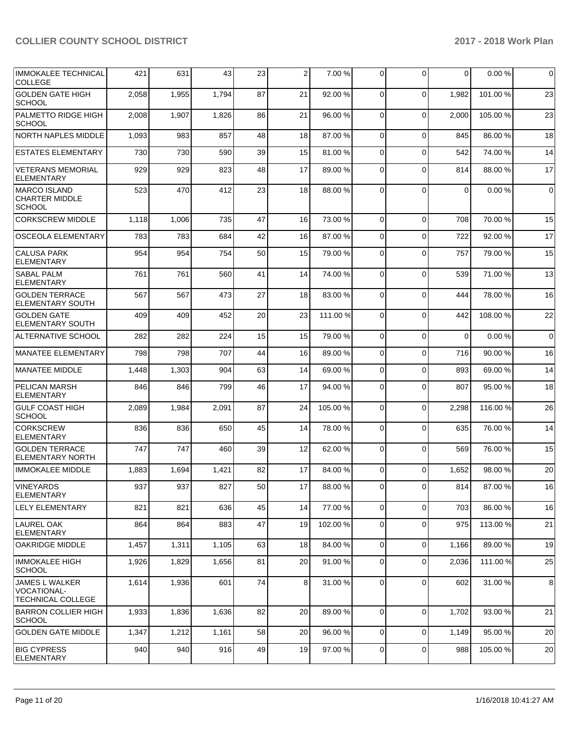| <b>IMMOKALEE TECHNICAL</b><br><b>COLLEGE</b>                     | 421   | 631   | 43    | 23 | 2  | 7.00 %   | $\Omega$    | $\Omega$    | $\Omega$ | 0.00%    | 0           |
|------------------------------------------------------------------|-------|-------|-------|----|----|----------|-------------|-------------|----------|----------|-------------|
| <b>GOLDEN GATE HIGH</b><br><b>SCHOOL</b>                         | 2,058 | 1,955 | 1,794 | 87 | 21 | 92.00 %  | $\mathbf 0$ | $\Omega$    | 1,982    | 101.00%  | 23          |
| PALMETTO RIDGE HIGH<br><b>SCHOOL</b>                             | 2,008 | 1,907 | 1,826 | 86 | 21 | 96.00 %  | $\Omega$    | $\Omega$    | 2,000    | 105.00 % | 23          |
| NORTH NAPLES MIDDLE                                              | 1,093 | 983   | 857   | 48 | 18 | 87.00 %  | $\Omega$    | $\Omega$    | 845      | 86.00%   | 18          |
| <b>ESTATES ELEMENTARY</b>                                        | 730   | 730   | 590   | 39 | 15 | 81.00 %  | $\Omega$    | $\Omega$    | 542      | 74.00 %  | 14          |
| <b>VETERANS MEMORIAL</b><br><b>ELEMENTARY</b>                    | 929   | 929   | 823   | 48 | 17 | 89.00 %  | $\Omega$    | $\Omega$    | 814      | 88.00 %  | 17          |
| <b>MARCO ISLAND</b><br><b>CHARTER MIDDLE</b><br><b>SCHOOL</b>    | 523   | 470   | 412   | 23 | 18 | 88.00 %  | 0           | $\Omega$    | 0        | 0.00%    | 0           |
| <b>CORKSCREW MIDDLE</b>                                          | 1,118 | 1,006 | 735   | 47 | 16 | 73.00 %  | $\mathbf 0$ | $\Omega$    | 708      | 70.00 %  | 15          |
| <b>OSCEOLA ELEMENTARY</b>                                        | 783   | 783   | 684   | 42 | 16 | 87.00 %  | $\mathbf 0$ | $\mathbf 0$ | 722      | 92.00 %  | 17          |
| <b>CALUSA PARK</b><br>ELEMENTARY                                 | 954   | 954   | 754   | 50 | 15 | 79.00 %  | $\Omega$    | $\Omega$    | 757      | 79.00 %  | 15          |
| <b>SABAL PALM</b><br><b>ELEMENTARY</b>                           | 761   | 761   | 560   | 41 | 14 | 74.00 %  | $\Omega$    | $\Omega$    | 539      | 71.00 %  | 13          |
| <b>GOLDEN TERRACE</b><br><b>ELEMENTARY SOUTH</b>                 | 567   | 567   | 473   | 27 | 18 | 83.00 %  | 0           | $\Omega$    | 444      | 78.00 %  | 16          |
| <b>GOLDEN GATE</b><br><b>ELEMENTARY SOUTH</b>                    | 409   | 409   | 452   | 20 | 23 | 111.00 % | $\Omega$    | $\Omega$    | 442      | 108.00%  | 22          |
| ALTERNATIVE SCHOOL                                               | 282   | 282   | 224   | 15 | 15 | 79.00 %  | $\Omega$    | $\mathbf 0$ | $\Omega$ | 0.00%    | $\mathbf 0$ |
| MANATEE ELEMENTARY                                               | 798   | 798   | 707   | 44 | 16 | 89.00 %  | $\Omega$    | $\Omega$    | 716      | 90.00 %  | 16          |
| <b>IMANATEE MIDDLE</b>                                           | 1,448 | 1,303 | 904   | 63 | 14 | 69.00 %  | $\Omega$    | $\Omega$    | 893      | 69.00 %  | 14          |
| <b>PELICAN MARSH</b><br><b>ELEMENTARY</b>                        | 846   | 846   | 799   | 46 | 17 | 94.00 %  | $\Omega$    | $\Omega$    | 807      | 95.00 %  | 18          |
| <b>GULF COAST HIGH</b><br><b>SCHOOL</b>                          | 2,089 | 1,984 | 2,091 | 87 | 24 | 105.00 % | 0           | $\mathbf 0$ | 2,298    | 116.00 % | 26          |
| <b>CORKSCREW</b><br><b>ELEMENTARY</b>                            | 836   | 836   | 650   | 45 | 14 | 78.00 %  | $\Omega$    | $\Omega$    | 635      | 76.00 %  | 14          |
| <b>GOLDEN TERRACE</b><br>ELEMENTARY NORTH                        | 747   | 747   | 460   | 39 | 12 | 62.00 %  | $\Omega$    | $\Omega$    | 569      | 76.00 %  | 15          |
| <b>IMMOKALEE MIDDLE</b>                                          | 1,883 | 1,694 | 1,421 | 82 | 17 | 84.00 %  | $\mathbf 0$ | $\Omega$    | 1,652    | 98.00 %  | 20          |
| VINEYARDS<br> ELEMENTARY                                         | 937   | 937   | 827   | 50 | 17 | 88.00 %  | 01          | $\Omega$    | 814      | 87.00 %  | 16          |
| ILELY ELEMENTARY                                                 | 821   | 821   | 636   | 45 | 14 | 77.00 %  | 0           | $\mathbf 0$ | 703      | 86.00 %  | 16          |
| LAUREL OAK<br> ELEMENTARY                                        | 864   | 864   | 883   | 47 | 19 | 102.00%  | $\mathbf 0$ | $\mathbf 0$ | 975      | 113.00 % | 21          |
| <b>OAKRIDGE MIDDLE</b>                                           | 1,457 | 1,311 | 1,105 | 63 | 18 | 84.00 %  | $\mathbf 0$ | $\Omega$    | 1,166    | 89.00 %  | 19          |
| <b>IMMOKALEE HIGH</b><br> SCHOOL                                 | 1,926 | 1,829 | 1,656 | 81 | 20 | 91.00 %  | 0           | $\mathbf 0$ | 2,036    | 111.00 % | 25          |
| JAMES L WALKER<br><b>VOCATIONAL-</b><br><b>TECHNICAL COLLEGE</b> | 1,614 | 1,936 | 601   | 74 | 8  | 31.00 %  | 0           | $\mathbf 0$ | 602      | 31.00 %  | 8           |
| <b>BARRON COLLIER HIGH</b><br><b>SCHOOL</b>                      | 1,933 | 1,836 | 1,636 | 82 | 20 | 89.00 %  | 0           | $\mathbf 0$ | 1,702    | 93.00 %  | 21          |
| <b>GOLDEN GATE MIDDLE</b>                                        | 1,347 | 1,212 | 1,161 | 58 | 20 | 96.00 %  | 0           | $\mathbf 0$ | 1,149    | 95.00 %  | 20          |
| <b>BIG CYPRESS</b><br><b>ELEMENTARY</b>                          | 940   | 940   | 916   | 49 | 19 | 97.00 %  | 0           | 0           | 988      | 105.00 % | 20          |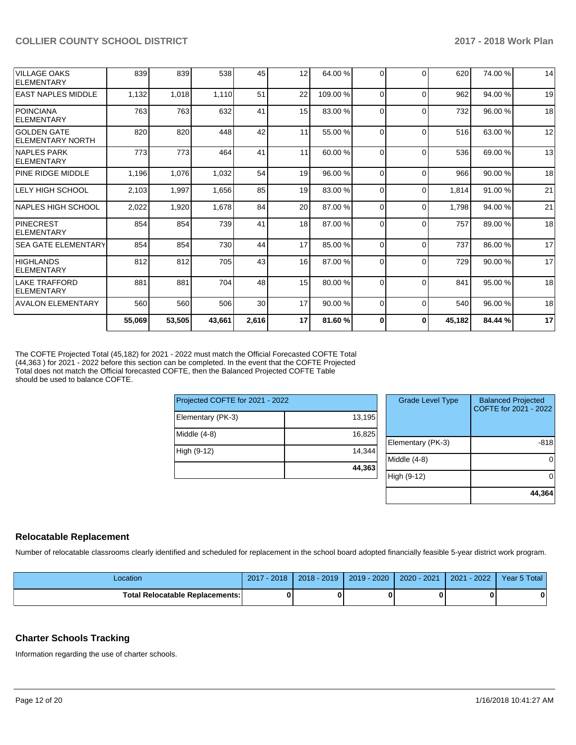| 55,069 | 53,505 | 43,661 | 2,616 | 17    | 81.60%  |          | $\bf{0}$ | 45,182                                       | 84.44 % | 17 |
|--------|--------|--------|-------|-------|---------|----------|----------|----------------------------------------------|---------|----|
| 560    | 560    | 506    | 30    | 17    | 90.00%  | $\Omega$ | $\Omega$ | 540                                          | 96.00 % | 18 |
| 881    | 881    | 704    | 48    | 15    | 80.00 % | $\Omega$ | $\Omega$ | 841                                          | 95.00 % | 18 |
| 812    | 812    | 705    | 43    | 16    | 87.00 % | 0        | $\Omega$ | 729                                          | 90.00 % | 17 |
| 854    | 854    | 730    | 44    | 17    | 85.00 % | $\Omega$ | $\Omega$ | 737                                          | 86.00 % | 17 |
| 854    | 854    | 739    | 41    | 18    | 87.00 % | 0        | $\Omega$ | 757                                          | 89.00 % | 18 |
| 2,022  | 1,920  | 1,678  | 84    | 20    | 87.00 % |          | $\Omega$ |                                              | 94.00 % | 21 |
| 2,103  | 1,997  | 1,656  | 85    | 19    | 83.00 % | 0        | $\Omega$ | 1,814                                        | 91.00 % | 21 |
| 1,196  | 1,076  | 1,032  | 54    | 19    | 96.00 % | $\Omega$ | $\Omega$ | 966                                          | 90.00 % | 18 |
| 773    | 773    | 464    | 41    | 11    | 60.00 % | $\Omega$ | $\Omega$ | 536                                          | 69.00 % | 13 |
| 820    | 820    | 448    | 42    | 11    | 55.00 % |          | $\Omega$ | 516                                          | 63.00 % | 12 |
| 763    | 763    | 632    | 41    | 15    | 83.00 % |          | $\Omega$ | 732                                          | 96.00 % | 18 |
| 1,132  | 1,018  |        | 51    | 22    | 109.00% | $\Omega$ | $\Omega$ | 962                                          | 94.00 % | 19 |
| 839    | 839    | 538    | 45    | 12    | 64.00 % |          | $\Omega$ | 620                                          | 74.00 % | 14 |
|        |        |        |       | 1,110 |         |          |          | $\Omega$<br>$\Omega$<br>$\Omega$<br>$\Omega$ | 1,798   |    |

The COFTE Projected Total (45,182) for 2021 - 2022 must match the Official Forecasted COFTE Total (44,363 ) for 2021 - 2022 before this section can be completed. In the event that the COFTE Projected Total does not match the Official forecasted COFTE, then the Balanced Projected COFTE Table should be used to balance COFTE.

| Projected COFTE for 2021 - 2022 |        |  |  |  |  |  |  |
|---------------------------------|--------|--|--|--|--|--|--|
| Elementary (PK-3)               | 13,195 |  |  |  |  |  |  |
| Middle $(4-8)$                  | 16,825 |  |  |  |  |  |  |
| High (9-12)                     | 14,344 |  |  |  |  |  |  |
|                                 | 44,363 |  |  |  |  |  |  |

| <b>Grade Level Type</b> | <b>Balanced Projected</b><br>COFTE for 2021 - 2022 |
|-------------------------|----------------------------------------------------|
| Elementary (PK-3)       | -818                                               |
| Middle $(4-8)$          |                                                    |
| High (9-12)             |                                                    |
|                         | 44,364                                             |

## **Relocatable Replacement**

Number of relocatable classrooms clearly identified and scheduled for replacement in the school board adopted financially feasible 5-year district work program.

| _ocation                          | 2017 - 2018 | $2018 - 2019$ | 2019 - 2020 | 2020 - 2021 | $-2022$<br>2021 | Year 5 Total |
|-----------------------------------|-------------|---------------|-------------|-------------|-----------------|--------------|
| Total Relocatable Replacements: I |             |               | 0           |             |                 | Λ            |

#### **Charter Schools Tracking**

Information regarding the use of charter schools.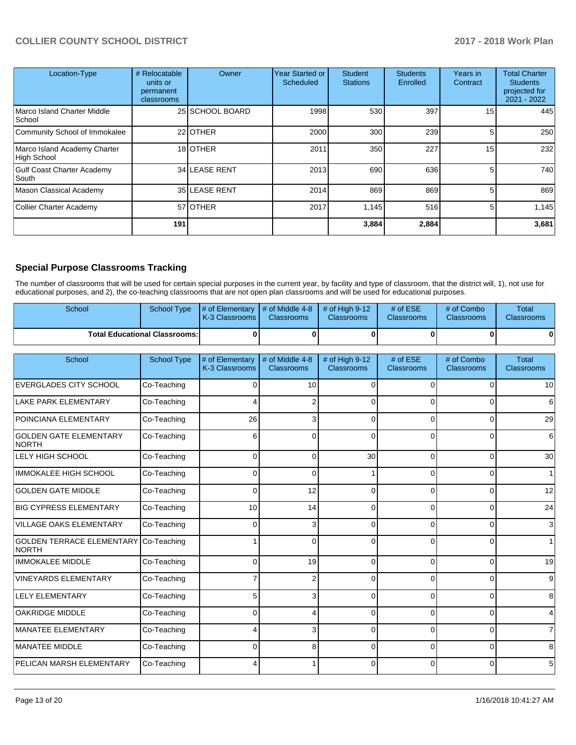| Location-Type                                     | # Relocatable<br>units or<br>permanent<br>classrooms | Owner           | Year Started or<br><b>Scheduled</b> | <b>Student</b><br><b>Stations</b> | <b>Students</b><br>Enrolled | Years in<br>Contract | <b>Total Charter</b><br><b>Students</b><br>projected for<br>2021 - 2022 |
|---------------------------------------------------|------------------------------------------------------|-----------------|-------------------------------------|-----------------------------------|-----------------------------|----------------------|-------------------------------------------------------------------------|
| Marco Island Charter Middle<br>School             |                                                      | 25 SCHOOL BOARD | 1998                                | 530                               | 397                         | 15 <sup>1</sup>      | 445                                                                     |
| Community School of Immokalee                     |                                                      | 22 OTHER        | 2000                                | 300                               | 239                         | 5                    | 250                                                                     |
| Marco Island Academy Charter<br>High School       |                                                      | 18 OTHER        | 2011                                | 350                               | 227                         | 15 <sub>1</sub>      | 232                                                                     |
| <b>Gulf Coast Charter Academy</b><br><b>South</b> |                                                      | 34 LEASE RENT   | 2013                                | 690                               | 636                         | 5.                   | 740                                                                     |
| Mason Classical Academy                           |                                                      | 35 LEASE RENT   | 2014                                | 869                               | 869                         | 5                    | 869                                                                     |
| Collier Charter Academy                           |                                                      | 57 OTHER        | 2017                                | 1.145                             | 516                         | 5                    | 1,145                                                                   |
|                                                   | 191                                                  |                 |                                     | 3,884                             | 2,884                       |                      | 3,681                                                                   |

## **Special Purpose Classrooms Tracking**

The number of classrooms that will be used for certain special purposes in the current year, by facility and type of classroom, that the district will, 1), not use for educational purposes, and 2), the co-teaching classrooms that are not open plan classrooms and will be used for educational purposes.

| School                                           | <b>School Type</b>                   | # of Elementary<br>K-3 Classrooms | # of Middle 4-8<br><b>Classrooms</b> | # of High 9-12<br>Classrooms | # of ESE<br>Classrooms | # of Combo<br>Classrooms | <b>Total</b><br>Classrooms |
|--------------------------------------------------|--------------------------------------|-----------------------------------|--------------------------------------|------------------------------|------------------------|--------------------------|----------------------------|
|                                                  | <b>Total Educational Classrooms:</b> | 0                                 | 0                                    | 0                            | $\Omega$               | 0                        |                            |
| School                                           | <b>School Type</b>                   | # of Elementary<br>K-3 Classrooms | # of Middle 4-8<br><b>Classrooms</b> | # of High 9-12<br>Classrooms | # of ESE<br>Classrooms | # of Combo<br>Classrooms | <b>Total</b><br>Classrooms |
| <b>EVERGLADES CITY SCHOOL</b>                    | Co-Teaching                          | $\Omega$                          | 10                                   | $\Omega$                     | $\Omega$               | 0                        | 10                         |
| <b>LAKE PARK ELEMENTARY</b>                      | Co-Teaching                          |                                   | 2                                    | $\Omega$                     | $\Omega$               | 0                        | 6                          |
| POINCIANA ELEMENTARY                             | Co-Teaching                          | 26                                | 3                                    | $\Omega$                     | $\Omega$               |                          | 29                         |
| <b>GOLDEN GATE ELEMENTARY</b><br>NORTH           | Co-Teaching                          | 6                                 |                                      | $\Omega$                     | $\Omega$               | $\Omega$                 | 6                          |
| LELY HIGH SCHOOL                                 | Co-Teaching                          | $\Omega$                          | $\Omega$                             | 30                           | $\Omega$               | $\Omega$                 | 30                         |
| <b>IMMOKALEE HIGH SCHOOL</b>                     | Co-Teaching                          | $\Omega$                          | <sup>0</sup>                         |                              | $\Omega$               | $\Omega$                 | 1                          |
| <b>GOLDEN GATE MIDDLE</b>                        | Co-Teaching                          | $\Omega$                          | 12                                   | $\Omega$                     | $\Omega$               | $\Omega$                 | 12                         |
| <b>BIG CYPRESS ELEMENTARY</b>                    | Co-Teaching                          | 10                                | 14                                   | $\Omega$                     | 0                      | 0                        | 24                         |
| VILLAGE OAKS ELEMENTARY                          | Co-Teaching                          | $\Omega$                          | 3                                    | $\Omega$                     | $\Omega$               | $\Omega$                 | 3                          |
| <b>GOLDEN TERRACE ELEMENTARY</b><br><b>NORTH</b> | Co-Teaching                          |                                   | $\Omega$                             | $\Omega$                     | $\Omega$               | $\Omega$                 |                            |
| <b>IMMOKALEE MIDDLE</b>                          | Co-Teaching                          | $\Omega$                          | 19                                   | $\mathbf 0$                  | $\Omega$               | $\Omega$                 | 19                         |
| <b>VINEYARDS ELEMENTARY</b>                      | Co-Teaching                          |                                   | 2                                    | $\mathbf{0}$                 | $\Omega$               | $\Omega$                 | 9                          |
| <b>LELY ELEMENTARY</b>                           | Co-Teaching                          | 5                                 |                                      | $\Omega$                     | $\Omega$               | $\Omega$                 | 8                          |
| <b>OAKRIDGE MIDDLE</b>                           | Co-Teaching                          | $\Omega$                          |                                      | $\Omega$                     | $\Omega$               | $\Omega$                 | 4                          |
| MANATEE ELEMENTARY                               | Co-Teaching                          | Δ                                 | 3                                    | $\Omega$                     | $\Omega$               | $\Omega$                 | 7                          |
| MANATEE MIDDLE                                   | Co-Teaching                          | 0                                 | 8                                    | $\Omega$                     | $\Omega$               | $\Omega$                 | 8                          |
| <b>PELICAN MARSH ELEMENTARY</b>                  | Co-Teaching                          |                                   |                                      | $\Omega$                     | $\Omega$               | $\Omega$                 | 5                          |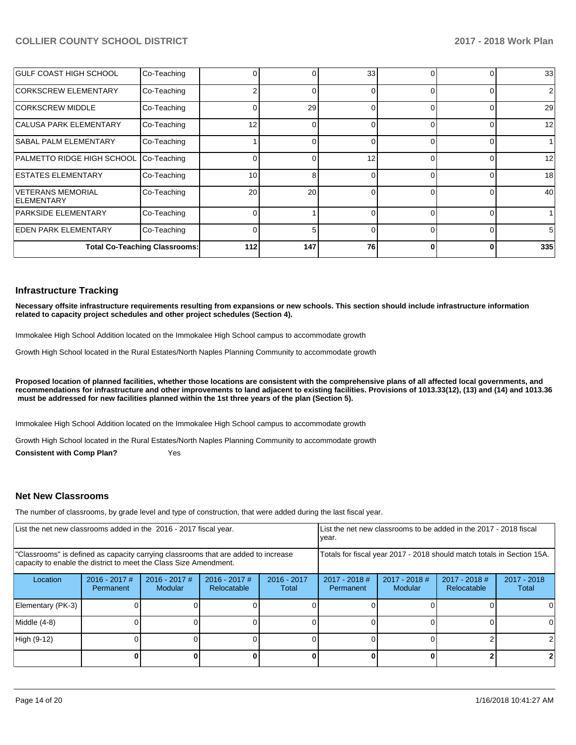| <b>GULF COAST HIGH SCHOOL</b>            | Co-Teaching                          |     |     | 33 |   |   | 33  |
|------------------------------------------|--------------------------------------|-----|-----|----|---|---|-----|
| CORKSCREW ELEMENTARY                     | Co-Teaching                          |     |     | O  |   |   | 2   |
| <b>CORKSCREW MIDDLE</b>                  | Co-Teaching                          |     | 29  | 0  |   |   | 29  |
| CALUSA PARK ELEMENTARY                   | Co-Teaching                          | 12  |     | 0  | ∩ |   | 12  |
| <b>SABAL PALM ELEMENTARY</b>             | Co-Teaching                          |     |     | 0  |   |   |     |
| PALMETTO RIDGE HIGH SCHOOL               | Co-Teaching                          |     |     | 12 |   |   | 12  |
| <b>IESTATES ELEMENTARY</b>               | Co-Teaching                          | 10  | 8   | 0  | ∩ |   | 18  |
| IVETERANS MEMORIAL<br><b>IELEMENTARY</b> | Co-Teaching                          | 20  | 20  | 0  |   |   | 40  |
| <b>PARKSIDE ELEMENTARY</b>               | Co-Teaching                          |     |     | O  |   |   |     |
| <b>IEDEN PARK ELEMENTARY</b>             | Co-Teaching                          |     | 5.  | 0  |   | 0 | 5   |
|                                          | <b>Total Co-Teaching Classrooms:</b> | 112 | 147 | 76 | ŋ | 0 | 335 |

#### **Infrastructure Tracking**

**Necessary offsite infrastructure requirements resulting from expansions or new schools. This section should include infrastructure information related to capacity project schedules and other project schedules (Section 4).** 

Immokalee High School Addition located on the Immokalee High School campus to accommodate growth

Growth High School located in the Rural Estates/North Naples Planning Community to accommodate growth

**Proposed location of planned facilities, whether those locations are consistent with the comprehensive plans of all affected local governments, and recommendations for infrastructure and other improvements to land adjacent to existing facilities. Provisions of 1013.33(12), (13) and (14) and 1013.36** must be addressed for new facilities planned within the 1st three years of the plan (Section 5).

Immokalee High School Addition located on the Immokalee High School campus to accommodate growth

Growth High School located in the Rural Estates/North Naples Planning Community to accommodate growth

**Consistent with Comp Plan?** Yes

#### **Net New Classrooms**

The number of classrooms, by grade level and type of construction, that were added during the last fiscal year.

| List the net new classrooms added in the 2016 - 2017 fiscal year.                                                                                       |                              |                                   | year.                        |                        | List the net new classrooms to be added in the 2017 - 2018 fiscal      |                                 |                                |                        |
|---------------------------------------------------------------------------------------------------------------------------------------------------------|------------------------------|-----------------------------------|------------------------------|------------------------|------------------------------------------------------------------------|---------------------------------|--------------------------------|------------------------|
| "Classrooms" is defined as capacity carrying classrooms that are added to increase<br>capacity to enable the district to meet the Class Size Amendment. |                              |                                   |                              |                        | Totals for fiscal year 2017 - 2018 should match totals in Section 15A. |                                 |                                |                        |
| Location                                                                                                                                                | $2016 - 2017$ #<br>Permanent | $2016 - 2017$ #<br><b>Modular</b> | 2016 - 2017 #<br>Relocatable | $2016 - 2017$<br>Total | $2017 - 2018$ #<br>Permanent                                           | 2017 - 2018 #<br><b>Modular</b> | $2017 - 2018$ #<br>Relocatable | $2017 - 2018$<br>Total |
| Elementary (PK-3)                                                                                                                                       |                              |                                   |                              |                        |                                                                        |                                 |                                |                        |
| Middle (4-8)                                                                                                                                            |                              |                                   |                              |                        |                                                                        |                                 |                                | $\Omega$               |
| High (9-12)                                                                                                                                             |                              |                                   |                              |                        |                                                                        |                                 |                                |                        |
|                                                                                                                                                         |                              |                                   |                              |                        |                                                                        |                                 |                                |                        |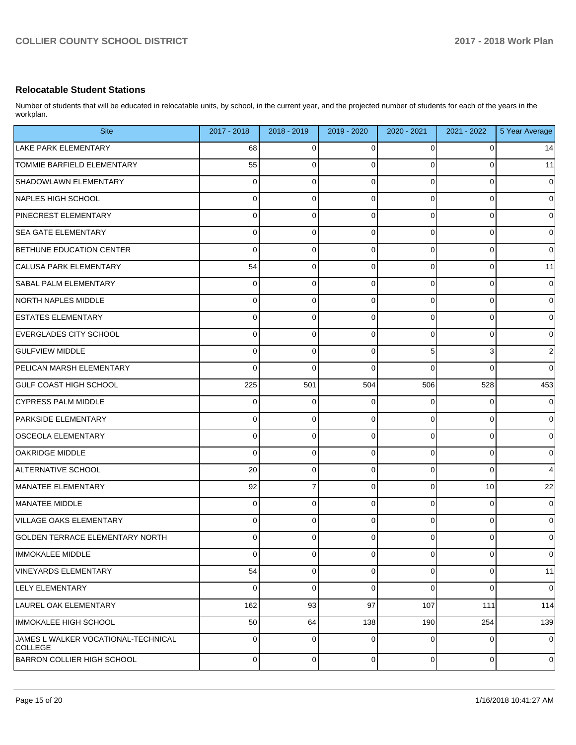### **Relocatable Student Stations**

Number of students that will be educated in relocatable units, by school, in the current year, and the projected number of students for each of the years in the workplan.

| <b>Site</b>                                           | 2017 - 2018 | 2018 - 2019    | 2019 - 2020 | 2020 - 2021 | 2021 - 2022 | 5 Year Average |
|-------------------------------------------------------|-------------|----------------|-------------|-------------|-------------|----------------|
| <b>LAKE PARK ELEMENTARY</b>                           | 68          | 0              | 0           | 0           | 0           | 14             |
| <b>TOMMIE BARFIELD ELEMENTARY</b>                     | 55          | 0              | $\Omega$    | 0           | 0           | 11             |
| SHADOWLAWN ELEMENTARY                                 | 0           | 0              | 0           | 0           | 0           | $\pmb{0}$      |
| NAPLES HIGH SCHOOL                                    | 0           | 0              | $\mathbf 0$ | 0           | 0           | $\mathbf 0$    |
| PINECREST ELEMENTARY                                  | 0           | 0              | $\mathbf 0$ | 0           | 0           | $\pmb{0}$      |
| <b>SEA GATE ELEMENTARY</b>                            | 0           | 0              | $\mathbf 0$ | 0           | 0           | $\mathbf 0$    |
| BETHUNE EDUCATION CENTER                              | 0           | 0              | $\mathbf 0$ | 0           | 0           | $\mathbf 0$    |
| CALUSA PARK ELEMENTARY                                | 54          | 0              | $\mathbf 0$ | 0           | 0           | 11             |
| SABAL PALM ELEMENTARY                                 | 0           | 0              | $\mathbf 0$ | 0           | 0           | $\mathbf 0$    |
| NORTH NAPLES MIDDLE                                   | 0           | 0              | $\mathbf 0$ | 0           | 0           | $\mathbf 0$    |
| <b>ESTATES ELEMENTARY</b>                             | 0           | 0              | $\mathbf 0$ | 0           | 0           | $\mathbf 0$    |
| <b>EVERGLADES CITY SCHOOL</b>                         | 0           | 0              | $\mathbf 0$ | 0           | 0           | $\mathbf 0$    |
| <b>GULFVIEW MIDDLE</b>                                | 0           | 0              | $\mathbf 0$ | 5           | 3           | $\sqrt{2}$     |
| PELICAN MARSH ELEMENTARY                              | 0           | 0              | $\Omega$    | 0           | 0           | $\mathbf 0$    |
| <b>GULF COAST HIGH SCHOOL</b>                         | 225         | 501            | 504         | 506         | 528         | 453            |
| <b>CYPRESS PALM MIDDLE</b>                            | 0           | 0              | $\Omega$    | 0           | 0           | $\mathbf 0$    |
| PARKSIDE ELEMENTARY                                   | 0           | 0              | 0           | 0           | 0           | $\mathbf 0$    |
| <b>OSCEOLA ELEMENTARY</b>                             | 0           | 0              | $\mathbf 0$ | 0           | 0           | $\pmb{0}$      |
| <b>OAKRIDGE MIDDLE</b>                                | 0           | 0              | $\mathbf 0$ | 0           | 0           | $\mathbf 0$    |
| ALTERNATIVE SCHOOL                                    | 20          | 0              | $\mathbf 0$ | 0           | 0           | $\overline{4}$ |
| MANATEE ELEMENTARY                                    | 92          | 7              | 0           | 0           | 10          | 22             |
| MANATEE MIDDLE                                        | 0           | 0              | $\mathbf 0$ | 0           | 0           | $\pmb{0}$      |
| VILLAGE OAKS ELEMENTARY                               | 0           | 0              | $\Omega$    | 0           | 0           | $\mathbf 0$    |
| GOLDEN TERRACE ELEMENTARY NORTH                       | 0           | 0              | 0           | 0           | 0           | $\mathbf 0$    |
| IMMOKALEE MIDDLE                                      | 0           | 0              | $\mathbf 0$ | 0           | 0           | $\mathbf 0$    |
| VINEYARDS ELEMENTARY                                  | 54          | $\overline{0}$ | 0           | 0           | 0           | 11             |
| LELY ELEMENTARY                                       | 0           | 0              | $\mathbf 0$ | 0           | 0           | $\mathbf 0$    |
| LAUREL OAK ELEMENTARY                                 | 162         | 93             | 97          | 107         | 111         | 114            |
| IMMOKALEE HIGH SCHOOL                                 | 50          | 64             | 138         | 190         | 254         | 139            |
| JAMES L WALKER VOCATIONAL-TECHNICAL<br><b>COLLEGE</b> | 0           | 0              | 0           | 0           | 0           | $\mathbf 0$    |
| BARRON COLLIER HIGH SCHOOL                            | $\mathbf 0$ | $\overline{0}$ | $\mathbf 0$ | $\mathbf 0$ | 0           | $\mathbf 0$    |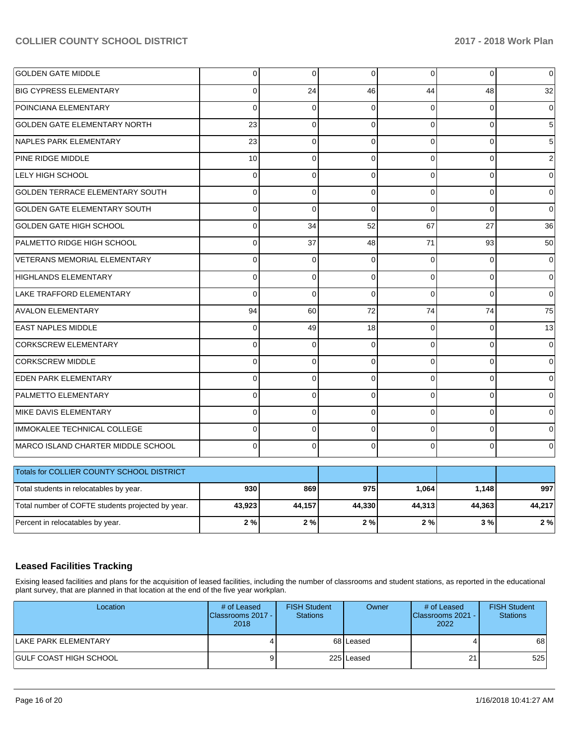| <b>GOLDEN GATE MIDDLE</b>              | $\Omega$ | $\overline{0}$ | $\Omega$ | $\Omega$ | $\overline{0}$ | $\overline{0}$  |
|----------------------------------------|----------|----------------|----------|----------|----------------|-----------------|
| <b>BIG CYPRESS ELEMENTARY</b>          | 0        | 24             | 46       | 44       | 48             | 32              |
| POINCIANA ELEMENTARY                   | 0        | $\Omega$       | ∩        | $\Omega$ | $\Omega$       | $\overline{0}$  |
| <b>GOLDEN GATE ELEMENTARY NORTH</b>    | 23       | $\overline{0}$ | $\Omega$ | $\Omega$ | $\overline{0}$ | $5\phantom{.0}$ |
| NAPLES PARK ELEMENTARY                 | 23       | $\Omega$       | $\Omega$ | $\Omega$ | $\Omega$       | 5 <sup>1</sup>  |
| <b>PINE RIDGE MIDDLE</b>               | 10       | $\overline{0}$ | $\Omega$ | $\Omega$ | $\overline{0}$ | $\overline{2}$  |
| <b>LELY HIGH SCHOOL</b>                | $\Omega$ | $\overline{0}$ | $\Omega$ | $\Omega$ | $\overline{0}$ | $\mathbf 0$     |
| <b>GOLDEN TERRACE ELEMENTARY SOUTH</b> | $\Omega$ | $\overline{0}$ | $\Omega$ | $\Omega$ | $\Omega$       | $\overline{0}$  |
| <b>GOLDEN GATE ELEMENTARY SOUTH</b>    | $\Omega$ | $\Omega$       | $\Omega$ | $\Omega$ | $\Omega$       | $\overline{0}$  |
| GOLDEN GATE HIGH SCHOOL                | $\Omega$ | 34             | 52       | 67       | 27             | 36              |
| PALMETTO RIDGE HIGH SCHOOL             | $\Omega$ | 37             | 48       | 71       | 93             | 50              |
| VETERANS MEMORIAL ELEMENTARY           | $\Omega$ | $\Omega$       | $\Omega$ | $\Omega$ | $\overline{0}$ | $\overline{0}$  |
| HIGHLANDS ELEMENTARY                   | $\Omega$ | $\overline{0}$ | $\Omega$ | $\Omega$ | $\Omega$       | $\mathbf 0$     |
| LAKE TRAFFORD ELEMENTARY               | $\Omega$ | $\Omega$       | $\Omega$ | $\Omega$ | $\Omega$       | $\Omega$        |
| <b>AVALON ELEMENTARY</b>               | 94       | 60             | 72       | 74       | 74             | 75              |
| <b>EAST NAPLES MIDDLE</b>              | 0        | 49             | 18       | $\Omega$ | $\overline{0}$ | 13              |
| <b>CORKSCREW ELEMENTARY</b>            | $\Omega$ | $\Omega$       | $\Omega$ | $\Omega$ | $\overline{0}$ | $\overline{0}$  |
| CORKSCREW MIDDLE                       | 0        | $\overline{0}$ | $\Omega$ | $\Omega$ | $\overline{0}$ | $\mathbf 0$     |
| <b>EDEN PARK ELEMENTARY</b>            | $\Omega$ | $\overline{0}$ | $\Omega$ | $\Omega$ | $\Omega$       | $\overline{0}$  |
| PALMETTO ELEMENTARY                    | $\Omega$ | $\overline{0}$ | $\Omega$ | $\Omega$ | $\overline{0}$ | $\overline{0}$  |
| MIKE DAVIS ELEMENTARY                  | $\Omega$ | $\Omega$       | $\Omega$ | $\Omega$ | $\Omega$       | $\overline{0}$  |
| IMMOKALEE TECHNICAL COLLEGE            | 0        | $\Omega$       | $\Omega$ | $\Omega$ | $\Omega$       | $\overline{0}$  |
| MARCO ISLAND CHARTER MIDDLE SCHOOL     | 0        | $\overline{0}$ | $\Omega$ | 0        | $\overline{0}$ | $\overline{0}$  |
| le construction                        |          |                |          |          |                |                 |

| Totals for COLLIER COUNTY SCHOOL DISTRICT         |        |        |        |        |        |        |
|---------------------------------------------------|--------|--------|--------|--------|--------|--------|
| Total students in relocatables by year.           | 930    | 869    | 975    | 1.064  | 1.148  | 997    |
| Total number of COFTE students projected by year. | 43,923 | 44.157 | 44.330 | 44.313 | 44.363 | 44,217 |
| Percent in relocatables by year.                  | 2%     | 2%     | 2%     | 2%     | 3 % I  | 2%     |

## **Leased Facilities Tracking**

Exising leased facilities and plans for the acquisition of leased facilities, including the number of classrooms and student stations, as reported in the educational plant survey, that are planned in that location at the end of the five year workplan.

| Location                | # of Leased<br><b>IClassrooms 2017 - I</b><br>2018 | <b>FISH Student</b><br><b>Stations</b> | Owner      | # of Leased<br><b>IClassrooms 2021 - I</b><br>2022 | <b>FISH Student</b><br><b>Stations</b> |
|-------------------------|----------------------------------------------------|----------------------------------------|------------|----------------------------------------------------|----------------------------------------|
| LAKE PARK ELEMENTARY    |                                                    |                                        | 68 Leased  |                                                    | 68                                     |
| IGULF COAST HIGH SCHOOL |                                                    |                                        | 225 Leased | 21                                                 | 525                                    |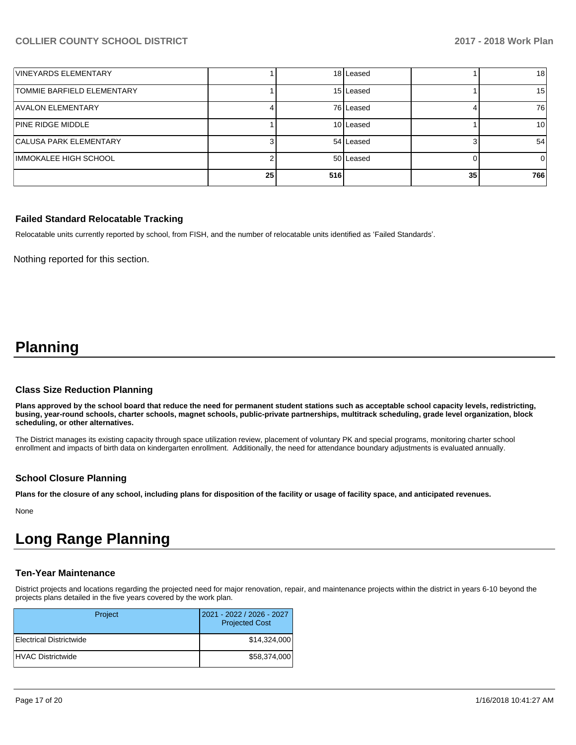| VINEYARDS ELEMENTARY              |    |     | 18 Leased |    | 18 <sup>1</sup> |
|-----------------------------------|----|-----|-----------|----|-----------------|
| <b>TOMMIE BARFIELD ELEMENTARY</b> |    |     | 15 Leased |    | 15 <sup>1</sup> |
| <b>AVALON ELEMENTARY</b>          |    |     | 76 Leased |    | 76              |
| <b>PINE RIDGE MIDDLE</b>          |    |     | 10 Leased |    | 10I             |
| <b>CALUSA PARK ELEMENTARY</b>     |    |     | 54 Leased |    | 54              |
| IMMOKALEE HIGH SCHOOL             |    |     | 50 Leased |    | 0               |
|                                   | 25 | 516 |           | 35 | 766             |

#### **Failed Standard Relocatable Tracking**

Relocatable units currently reported by school, from FISH, and the number of relocatable units identified as 'Failed Standards'.

Nothing reported for this section.

## **Planning**

#### **Class Size Reduction Planning**

**Plans approved by the school board that reduce the need for permanent student stations such as acceptable school capacity levels, redistricting, busing, year-round schools, charter schools, magnet schools, public-private partnerships, multitrack scheduling, grade level organization, block scheduling, or other alternatives.**

The District manages its existing capacity through space utilization review, placement of voluntary PK and special programs, monitoring charter school enrollment and impacts of birth data on kindergarten enrollment. Additionally, the need for attendance boundary adjustments is evaluated annually.

#### **School Closure Planning**

**Plans for the closure of any school, including plans for disposition of the facility or usage of facility space, and anticipated revenues.** 

None

## **Long Range Planning**

#### **Ten-Year Maintenance**

District projects and locations regarding the projected need for major renovation, repair, and maintenance projects within the district in years 6-10 beyond the projects plans detailed in the five years covered by the work plan.

| Project                  | 2021 - 2022 / 2026 - 2027<br><b>Projected Cost</b> |
|--------------------------|----------------------------------------------------|
| Electrical Districtwide  | \$14,324,000                                       |
| <b>HVAC Districtwide</b> | \$58,374,000                                       |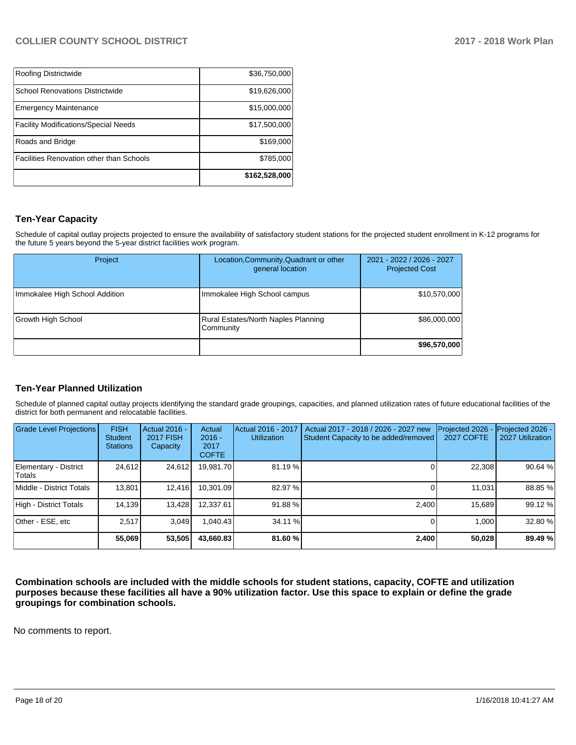|                                             | \$162,528,000 |
|---------------------------------------------|---------------|
| Facilities Renovation other than Schools    | \$785,000     |
| Roads and Bridge                            | \$169,000     |
| <b>Facility Modifications/Special Needs</b> | \$17,500,000  |
| <b>Emergency Maintenance</b>                | \$15,000,000  |
| <b>School Renovations Districtwide</b>      | \$19,626,000  |
| Roofing Districtwide                        | \$36,750,000  |

## **Ten-Year Capacity**

Schedule of capital outlay projects projected to ensure the availability of satisfactory student stations for the projected student enrollment in K-12 programs for the future 5 years beyond the 5-year district facilities work program.

| Project                        | Location, Community, Quadrant or other<br>general location | 2021 - 2022 / 2026 - 2027<br><b>Projected Cost</b> |
|--------------------------------|------------------------------------------------------------|----------------------------------------------------|
| Immokalee High School Addition | Immokalee High School campus                               | \$10,570,000                                       |
| Growth High School             | Rural Estates/North Naples Planning<br>Community           | \$86,000,000                                       |
|                                |                                                            | \$96,570,000                                       |

## **Ten-Year Planned Utilization**

Schedule of planned capital outlay projects identifying the standard grade groupings, capacities, and planned utilization rates of future educational facilities of the district for both permanent and relocatable facilities.

| Grade Level Projections         | <b>FISH</b><br><b>Student</b><br><b>Stations</b> | Actual 2016 -<br><b>2017 FISH</b><br>Capacity | Actual<br>$2016 -$<br>2017<br><b>COFTE</b> | Actual 2016 - 2017<br><b>Utilization</b> | Actual 2017 - 2018 / 2026 - 2027 new<br>Student Capacity to be added/removed | Projected 2026<br>2027 COFTE | Projected 2026 -<br>2027 Utilization |
|---------------------------------|--------------------------------------------------|-----------------------------------------------|--------------------------------------------|------------------------------------------|------------------------------------------------------------------------------|------------------------------|--------------------------------------|
| Elementary - District<br>Totals | 24,612                                           | 24,612                                        | 19.981.70                                  | 81.19 %                                  |                                                                              | 22,308                       | 90.64%                               |
| Middle - District Totals        | 13.801                                           | 12,416                                        | 10.301.09                                  | 82.97 %                                  |                                                                              | 11.031                       | 88.85 %                              |
| High - District Totals          | 14,139                                           | 13,428                                        | 12.337.61                                  | 91.88%                                   | 2.400                                                                        | 15.689                       | 99.12%                               |
| Other - ESE, etc                | 2.517                                            | 3.049                                         | .040.43                                    | 34.11 %                                  |                                                                              | 1.000                        | 32.80 %                              |
|                                 | 55,069                                           | 53,505                                        | 43.660.83                                  | 81.60 %                                  | 2.400                                                                        | 50,028                       | 89.49 %                              |

**Combination schools are included with the middle schools for student stations, capacity, COFTE and utilization purposes because these facilities all have a 90% utilization factor. Use this space to explain or define the grade groupings for combination schools.** 

No comments to report.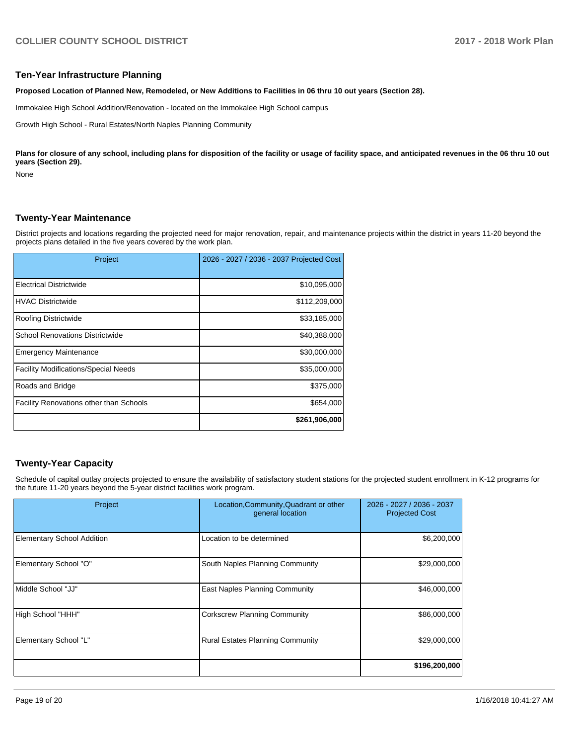#### **Ten-Year Infrastructure Planning**

**Proposed Location of Planned New, Remodeled, or New Additions to Facilities in 06 thru 10 out years (Section 28).**

Immokalee High School Addition/Renovation - located on the Immokalee High School campus

Growth High School - Rural Estates/North Naples Planning Community

Plans for closure of any school, including plans for disposition of the facility or usage of facility space, and anticipated revenues in the 06 thru 10 out **years (Section 29).**

None

## **Twenty-Year Maintenance**

District projects and locations regarding the projected need for major renovation, repair, and maintenance projects within the district in years 11-20 beyond the projects plans detailed in the five years covered by the work plan.

| Project                                     | 2026 - 2027 / 2036 - 2037 Projected Cost |
|---------------------------------------------|------------------------------------------|
| <b>Electrical Districtwide</b>              | \$10,095,000                             |
| <b>HVAC Districtwide</b>                    | \$112,209,000                            |
| Roofing Districtwide                        | \$33,185,000                             |
| <b>School Renovations Districtwide</b>      | \$40,388,000                             |
| <b>Emergency Maintenance</b>                | \$30,000,000                             |
| <b>Facility Modifications/Special Needs</b> | \$35,000,000                             |
| Roads and Bridge                            | \$375,000                                |
| Facility Renovations other than Schools     | \$654,000                                |
|                                             | \$261,906,000                            |

## **Twenty-Year Capacity**

Schedule of capital outlay projects projected to ensure the availability of satisfactory student stations for the projected student enrollment in K-12 programs for the future 11-20 years beyond the 5-year district facilities work program.

| Project                           | Location, Community, Quadrant or other<br>general location | 2026 - 2027 / 2036 - 2037<br><b>Projected Cost</b> |  |
|-----------------------------------|------------------------------------------------------------|----------------------------------------------------|--|
| <b>Elementary School Addition</b> | Location to be determined                                  | \$6,200,000                                        |  |
| Elementary School "O"             | South Naples Planning Community                            | \$29,000,000                                       |  |
| Middle School "JJ"                | East Naples Planning Community                             | \$46,000,000                                       |  |
| High School "HHH"                 | <b>Corkscrew Planning Community</b>                        | \$86,000,000                                       |  |
| Elementary School "L"             | <b>Rural Estates Planning Community</b>                    | \$29,000,000                                       |  |
|                                   |                                                            | \$196,200,000                                      |  |